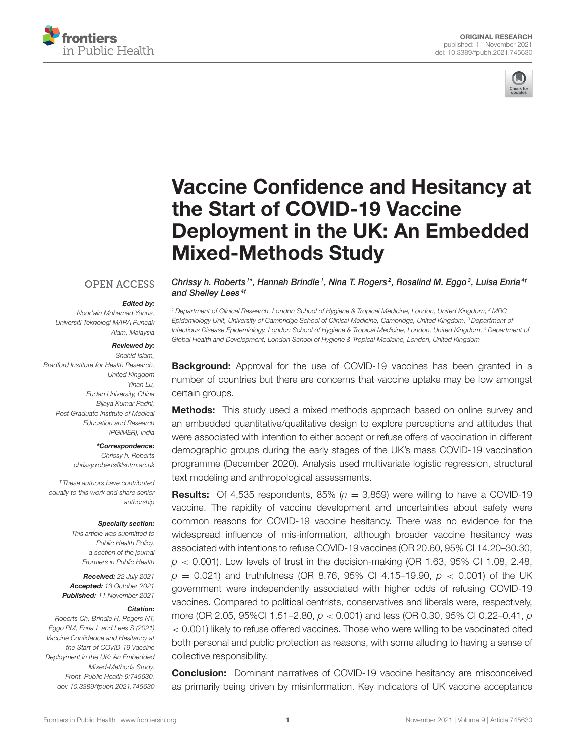



# Vaccine Confidence and Hesitancy at the Start of COVID-19 Vaccine [Deployment in the UK: An Embedded](https://www.frontiersin.org/articles/10.3389/fpubh.2021.745630/full) Mixed-Methods Study

#### **OPEN ACCESS**

#### Edited by:

*Noor'ain Mohamad Yunus, Universiti Teknologi MARA Puncak Alam, Malaysia*

#### Reviewed by:

*Shahid Islam, Bradford Institute for Health Research, United Kingdom Yihan Lu, Fudan University, China Bijaya Kumar Padhi, Post Graduate Institute of Medical Education and Research (PGIMER), India*

> \*Correspondence: *Chrissy h. Roberts*

*[chrissy.roberts@lshtm.ac.uk](mailto:chrissy.roberts@lshtm.ac.uk)*

*†These authors have contributed equally to this work and share senior authorship*

#### Specialty section:

*This article was submitted to Public Health Policy, a section of the journal Frontiers in Public Health*

Received: *22 July 2021* Accepted: *13 October 2021* Published: *11 November 2021*

#### Citation:

*Roberts Ch, Brindle H, Rogers NT, Eggo RM, Enria L and Lees S (2021) Vaccine Confidence and Hesitancy at the Start of COVID-19 Vaccine Deployment in the UK: An Embedded Mixed-Methods Study. Front. Public Health 9:745630. doi: [10.3389/fpubh.2021.745630](https://doi.org/10.3389/fpubh.2021.745630)*

Chrissy h. Roberts<sup>1\*</sup>, Hannah Brindle<sup>1</sup>, Nina T. Rogers<sup>2</sup>, Rosalind M. Eggo<sup>3</sup>, Luisa Enria<sup>41</sup> and Shelley Lees<sup>4t</sup>

*<sup>1</sup> Department of Clinical Research, London School of Hygiene & Tropical Medicine, London, United Kingdom, <sup>2</sup> MRC Epidemiology Unit, University of Cambridge School of Clinical Medicine, Cambridge, United Kingdom, <sup>3</sup> Department of Infectious Disease Epidemiology, London School of Hygiene & Tropical Medicine, London, United Kingdom, <sup>4</sup> Department of Global Health and Development, London School of Hygiene & Tropical Medicine, London, United Kingdom*

**Background:** Approval for the use of COVID-19 vaccines has been granted in a number of countries but there are concerns that vaccine uptake may be low amongst certain groups.

Methods: This study used a mixed methods approach based on online survey and an embedded quantitative/qualitative design to explore perceptions and attitudes that were associated with intention to either accept or refuse offers of vaccination in different demographic groups during the early stages of the UK's mass COVID-19 vaccination programme (December 2020). Analysis used multivariate logistic regression, structural text modeling and anthropological assessments.

**Results:** Of 4,535 respondents, 85% ( $n = 3,859$ ) were willing to have a COVID-19 vaccine. The rapidity of vaccine development and uncertainties about safety were common reasons for COVID-19 vaccine hesitancy. There was no evidence for the widespread influence of mis-information, although broader vaccine hesitancy was associated with intentions to refuse COVID-19 vaccines (OR 20.60, 95% CI 14.20–30.30, *p* < 0.001). Low levels of trust in the decision-making (OR 1.63, 95% CI 1.08, 2.48,  $p = 0.021$ ) and truthfulness (OR 8.76, 95% CI 4.15–19.90,  $p < 0.001$ ) of the UK government were independently associated with higher odds of refusing COVID-19 vaccines. Compared to political centrists, conservatives and liberals were, respectively, more (OR 2.05, 95%CI 1.51–2.80, *p* < 0.001) and less (OR 0.30, 95% CI 0.22–0.41, *p* < 0.001) likely to refuse offered vaccines. Those who were willing to be vaccinated cited both personal and public protection as reasons, with some alluding to having a sense of collective responsibility.

**Conclusion:** Dominant narratives of COVID-19 vaccine hesitancy are misconceived as primarily being driven by misinformation. Key indicators of UK vaccine acceptance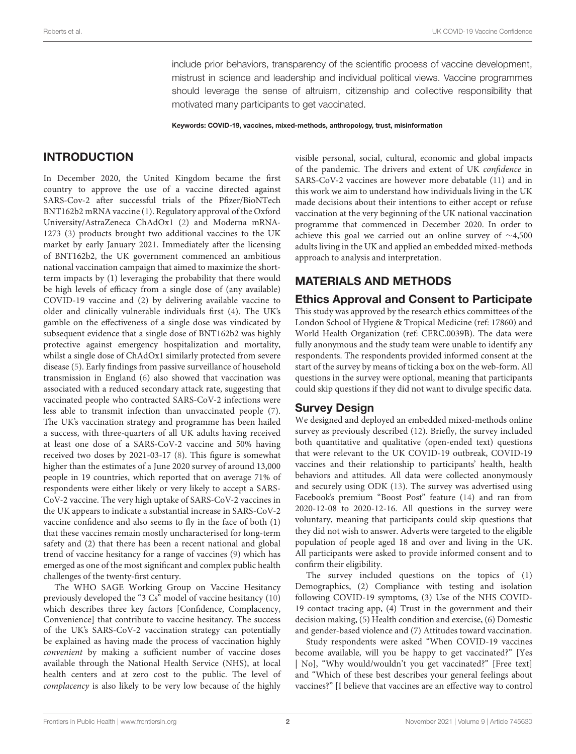include prior behaviors, transparency of the scientific process of vaccine development, mistrust in science and leadership and individual political views. Vaccine programmes should leverage the sense of altruism, citizenship and collective responsibility that motivated many participants to get vaccinated.

Keywords: COVID-19, vaccines, mixed-methods, anthropology, trust, misinformation

### INTRODUCTION

In December 2020, the United Kingdom became the first country to approve the use of a vaccine directed against SARS-Cov-2 after successful trials of the Pfizer/BioNTech BNT162b2 mRNA vaccine [\(1\)](#page-15-0). Regulatory approval of the Oxford University/AstraZeneca ChAdOx1 [\(2\)](#page-15-1) and Moderna mRNA-1273 [\(3\)](#page-16-0) products brought two additional vaccines to the UK market by early January 2021. Immediately after the licensing of BNT162b2, the UK government commenced an ambitious national vaccination campaign that aimed to maximize the shortterm impacts by (1) leveraging the probability that there would be high levels of efficacy from a single dose of (any available) COVID-19 vaccine and (2) by delivering available vaccine to older and clinically vulnerable individuals first [\(4\)](#page-16-1). The UK's gamble on the effectiveness of a single dose was vindicated by subsequent evidence that a single dose of BNT162b2 was highly protective against emergency hospitalization and mortality, whilst a single dose of ChAdOx1 similarly protected from severe disease [\(5\)](#page-16-2). Early findings from passive surveillance of household transmission in England [\(6\)](#page-16-3) also showed that vaccination was associated with a reduced secondary attack rate, suggesting that vaccinated people who contracted SARS-CoV-2 infections were less able to transmit infection than unvaccinated people [\(7\)](#page-16-4). The UK's vaccination strategy and programme has been hailed a success, with three-quarters of all UK adults having received at least one dose of a SARS-CoV-2 vaccine and 50% having received two doses by 2021-03-17 [\(8\)](#page-16-5). This figure is somewhat higher than the estimates of a June 2020 survey of around 13,000 people in 19 countries, which reported that on average 71% of respondents were either likely or very likely to accept a SARS-CoV-2 vaccine. The very high uptake of SARS-CoV-2 vaccines in the UK appears to indicate a substantial increase in SARS-CoV-2 vaccine confidence and also seems to fly in the face of both (1) that these vaccines remain mostly uncharacterised for long-term safety and (2) that there has been a recent national and global trend of vaccine hesitancy for a range of vaccines [\(9\)](#page-16-6) which has emerged as one of the most significant and complex public health challenges of the twenty-first century.

The WHO SAGE Working Group on Vaccine Hesitancy previously developed the "3 Cs" model of vaccine hesitancy [\(10\)](#page-16-7) which describes three key factors [Confidence, Complacency, Convenience] that contribute to vaccine hesitancy. The success of the UK's SARS-CoV-2 vaccination strategy can potentially be explained as having made the process of vaccination highly convenient by making a sufficient number of vaccine doses available through the National Health Service (NHS), at local health centers and at zero cost to the public. The level of complacency is also likely to be very low because of the highly visible personal, social, cultural, economic and global impacts of the pandemic. The drivers and extent of UK confidence in SARS-CoV-2 vaccines are however more debatable [\(11\)](#page-16-8) and in this work we aim to understand how individuals living in the UK made decisions about their intentions to either accept or refuse vaccination at the very beginning of the UK national vaccination programme that commenced in December 2020. In order to achieve this goal we carried out an online survey of ∼4,500 adults living in the UK and applied an embedded mixed-methods approach to analysis and interpretation.

# MATERIALS AND METHODS

#### Ethics Approval and Consent to Participate

This study was approved by the research ethics committees of the London School of Hygiene & Tropical Medicine (ref: 17860) and World Health Organization (ref: CERC.0039B). The data were fully anonymous and the study team were unable to identify any respondents. The respondents provided informed consent at the start of the survey by means of ticking a box on the web-form. All questions in the survey were optional, meaning that participants could skip questions if they did not want to divulge specific data.

#### Survey Design

We designed and deployed an embedded mixed-methods online survey as previously described [\(12\)](#page-16-9). Briefly, the survey included both quantitative and qualitative (open-ended text) questions that were relevant to the UK COVID-19 outbreak, COVID-19 vaccines and their relationship to participants' health, health behaviors and attitudes. All data were collected anonymously and securely using ODK [\(13\)](#page-16-10). The survey was advertised using Facebook's premium "Boost Post" feature [\(14\)](#page-16-11) and ran from 2020-12-08 to 2020-12-16. All questions in the survey were voluntary, meaning that participants could skip questions that they did not wish to answer. Adverts were targeted to the eligible population of people aged 18 and over and living in the UK. All participants were asked to provide informed consent and to confirm their eligibility.

The survey included questions on the topics of (1) Demographics, (2) Compliance with testing and isolation following COVID-19 symptoms, (3) Use of the NHS COVID-19 contact tracing app, (4) Trust in the government and their decision making, (5) Health condition and exercise, (6) Domestic and gender-based violence and (7) Attitudes toward vaccination.

Study respondents were asked "When COVID-19 vaccines become available, will you be happy to get vaccinated?" [Yes | No], "Why would/wouldn't you get vaccinated?" [Free text] and "Which of these best describes your general feelings about vaccines?" [I believe that vaccines are an effective way to control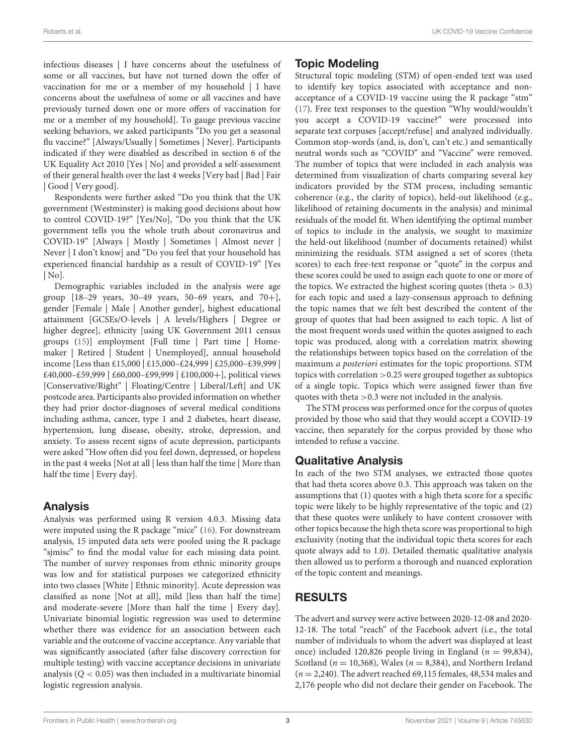infectious diseases | I have concerns about the usefulness of some or all vaccines, but have not turned down the offer of vaccination for me or a member of my household | I have concerns about the usefulness of some or all vaccines and have previously turned down one or more offers of vaccination for me or a member of my household]. To gauge previous vaccine seeking behaviors, we asked participants "Do you get a seasonal flu vaccine?" [Always/Usually | Sometimes | Never]. Participants indicated if they were disabled as described in section 6 of the UK Equality Act 2010 [Yes | No] and provided a self-assessment of their general health over the last 4 weeks [Very bad | Bad | Fair | Good | Very good].

Respondents were further asked "Do you think that the UK government (Westminster) is making good decisions about how to control COVID-19?" [Yes/No], "Do you think that the UK government tells you the whole truth about coronavirus and COVID-19" [Always | Mostly | Sometimes | Almost never | Never | I don't know] and "Do you feel that your household has experienced financial hardship as a result of COVID-19" [Yes | No].

Demographic variables included in the analysis were age group  $[18-29 \text{ years}, 30-49 \text{ years}, 50-69 \text{ years}, \text{ and } 70+]$ , gender [Female | Male | Another gender], highest educational attainment [GCSEs/O-levels | A levels/Highers | Degree or higher degree], ethnicity [using UK Government 2011 census groups [\(15\)](#page-16-12)] employment [Full time | Part time | Homemaker | Retired | Student | Unemployed], annual household income [Less than £15,000 | £15,000–£24,999 | £25,000–£39,999 | £40,000–£59,999 | £60,000–£99,999 | £100,000+], political views [Conservative/Right" | Floating/Centre | Liberal/Left] and UK postcode area. Participants also provided information on whether they had prior doctor-diagnoses of several medical conditions including asthma, cancer, type 1 and 2 diabetes, heart disease, hypertension, lung disease, obesity, stroke, depression, and anxiety. To assess recent signs of acute depression, participants were asked "How often did you feel down, depressed, or hopeless in the past 4 weeks [Not at all | less than half the time | More than half the time | Every day].

#### Analysis

Analysis was performed using R version 4.0.3. Missing data were imputed using the R package "mice" [\(16\)](#page-16-13). For downstream analysis, 15 imputed data sets were pooled using the R package "sjmisc" to find the modal value for each missing data point. The number of survey responses from ethnic minority groups was low and for statistical purposes we categorized ethnicity into two classes [White | Ethnic minority]. Acute depression was classified as none [Not at all], mild [less than half the time] and moderate-severe [More than half the time | Every day]. Univariate binomial logistic regression was used to determine whether there was evidence for an association between each variable and the outcome of vaccine acceptance. Any variable that was significantly associated (after false discovery correction for multiple testing) with vaccine acceptance decisions in univariate analysis  $(Q < 0.05)$  was then included in a multivariate binomial logistic regression analysis.

## Topic Modeling

Structural topic modeling (STM) of open-ended text was used to identify key topics associated with acceptance and nonacceptance of a COVID-19 vaccine using the R package "stm" [\(17\)](#page-16-14). Free text responses to the question "Why would/wouldn't you accept a COVID-19 vaccine?" were processed into separate text corpuses [accept/refuse] and analyzed individually. Common stop-words (and, is, don't, can't etc.) and semantically neutral words such as "COVID" and "Vaccine" were removed. The number of topics that were included in each analysis was determined from visualization of charts comparing several key indicators provided by the STM process, including semantic coherence (e.g., the clarity of topics), held-out likelihood (e.g., likelihood of retaining documents in the analysis) and minimal residuals of the model fit. When identifying the optimal number of topics to include in the analysis, we sought to maximize the held-out likelihood (number of documents retained) whilst minimizing the residuals. STM assigned a set of scores (theta scores) to each free-text response or "quote" in the corpus and these scores could be used to assign each quote to one or more of the topics. We extracted the highest scoring quotes (theta  $> 0.3$ ) for each topic and used a lazy-consensus approach to defining the topic names that we felt best described the content of the group of quotes that had been assigned to each topic. A list of the most frequent words used within the quotes assigned to each topic was produced, along with a correlation matrix showing the relationships between topics based on the correlation of the maximum a posteriori estimates for the topic proportions. STM topics with correlation >0.25 were grouped together as subtopics of a single topic. Topics which were assigned fewer than five quotes with theta >0.3 were not included in the analysis.

The STM process was performed once for the corpus of quotes provided by those who said that they would accept a COVID-19 vaccine, then separately for the corpus provided by those who intended to refuse a vaccine.

# Qualitative Analysis

In each of the two STM analyses, we extracted those quotes that had theta scores above 0.3. This approach was taken on the assumptions that (1) quotes with a high theta score for a specific topic were likely to be highly representative of the topic and (2) that these quotes were unlikely to have content crossover with other topics because the high theta score was proportional to high exclusivity (noting that the individual topic theta scores for each quote always add to 1.0). Detailed thematic qualitative analysis then allowed us to perform a thorough and nuanced exploration of the topic content and meanings.

# RESULTS

The advert and survey were active between 2020-12-08 and 2020- 12-18. The total "reach" of the Facebook advert (i.e., the total number of individuals to whom the advert was displayed at least once) included 120,826 people living in England ( $n = 99,834$ ), Scotland ( $n = 10,368$ ), Wales ( $n = 8,384$ ), and Northern Ireland  $(n = 2,240)$ . The advert reached 69,115 females, 48,534 males and 2,176 people who did not declare their gender on Facebook. The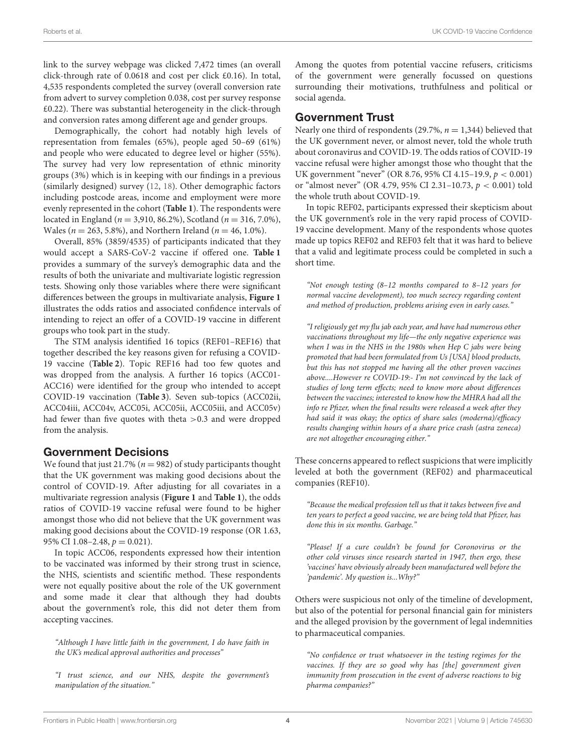link to the survey webpage was clicked 7,472 times (an overall click-through rate of 0.0618 and cost per click £0.16). In total, 4,535 respondents completed the survey (overall conversion rate from advert to survey completion 0.038, cost per survey response £0.22). There was substantial heterogeneity in the click-through and conversion rates among different age and gender groups.

Demographically, the cohort had notably high levels of representation from females (65%), people aged 50–69 (61%) and people who were educated to degree level or higher (55%). The survey had very low representation of ethnic minority groups (3%) which is in keeping with our findings in a previous (similarly designed) survey [\(12,](#page-16-9) [18\)](#page-16-15). Other demographic factors including postcode areas, income and employment were more evenly represented in the cohort (**[Table 1](#page-4-0)**). The respondents were located in England ( $n = 3,910, 86.2\%$ ), Scotland ( $n = 316, 7.0\%$ ), Wales ( $n = 263, 5.8\%$ ), and Northern Ireland ( $n = 46, 1.0\%$ ).

Overall, 85% (3859/4535) of participants indicated that they would accept a SARS-CoV-2 vaccine if offered one. **[Table 1](#page-4-0)** provides a summary of the survey's demographic data and the results of both the univariate and multivariate logistic regression tests. Showing only those variables where there were significant differences between the groups in multivariate analysis, **[Figure 1](#page-8-0)** illustrates the odds ratios and associated confidence intervals of intending to reject an offer of a COVID-19 vaccine in different groups who took part in the study.

The STM analysis identified 16 topics (REF01–REF16) that together described the key reasons given for refusing a COVID-19 vaccine (**[Table 2](#page-9-0)**). Topic REF16 had too few quotes and was dropped from the analysis. A further 16 topics (ACC01- ACC16) were identified for the group who intended to accept COVID-19 vaccination (**[Table 3](#page-10-0)**). Seven sub-topics (ACC02ii, ACC04iii, ACC04v, ACC05i, ACC05ii, ACC05iii, and ACC05v) had fewer than five quotes with theta >0.3 and were dropped from the analysis.

#### Government Decisions

We found that just 21.7% ( $n = 982$ ) of study participants thought that the UK government was making good decisions about the control of COVID-19. After adjusting for all covariates in a multivariate regression analysis (**[Figure 1](#page-8-0)** and **[Table 1](#page-4-0)**), the odds ratios of COVID-19 vaccine refusal were found to be higher amongst those who did not believe that the UK government was making good decisions about the COVID-19 response (OR 1.63, 95% CI  $1.08-2.48$ ,  $p = 0.021$ ).

In topic ACC06, respondents expressed how their intention to be vaccinated was informed by their strong trust in science, the NHS, scientists and scientific method. These respondents were not equally positive about the role of the UK government and some made it clear that although they had doubts about the government's role, this did not deter them from accepting vaccines.

"Although I have little faith in the government, I do have faith in the UK's medical approval authorities and processes"

"I trust science, and our NHS, despite the government's manipulation of the situation."

Among the quotes from potential vaccine refusers, criticisms of the government were generally focussed on questions surrounding their motivations, truthfulness and political or social agenda.

#### Government Trust

Nearly one third of respondents (29.7%,  $n = 1,344$ ) believed that the UK government never, or almost never, told the whole truth about coronavirus and COVID-19. The odds ratios of COVID-19 vaccine refusal were higher amongst those who thought that the UK government "never" (OR 8.76, 95% CI 4.15–19.9, p < 0.001) or "almost never" (OR 4.79, 95% CI 2.31-10.73,  $p < 0.001$ ) told the whole truth about COVID-19.

In topic REF02, participants expressed their skepticism about the UK government's role in the very rapid process of COVID-19 vaccine development. Many of the respondents whose quotes made up topics REF02 and REF03 felt that it was hard to believe that a valid and legitimate process could be completed in such a short time.

"Not enough testing (8–12 months compared to 8–12 years for normal vaccine development), too much secrecy regarding content and method of production, problems arising even in early cases."

"I religiously get my flu jab each year, and have had numerous other vaccinations throughout my life—the only negative experience was when I was in the NHS in the 1980s when Hep C jabs were being promoted that had been formulated from Us [USA] blood products, but this has not stopped me having all the other proven vaccines above....However re COVID-19:- I'm not convinced by the lack of studies of long term effects; need to know more about differences between the vaccines; interested to know how the MHRA had all the info re Pfizer, when the final results were released a week after they had said it was okay; the optics of share sales (moderna)/efficacy results changing within hours of a share price crash (astra zeneca) are not altogether encouraging either."

These concerns appeared to reflect suspicions that were implicitly leveled at both the government (REF02) and pharmaceutical companies (REF10).

"Because the medical profession tell us that it takes between five and ten years to perfect a good vaccine, we are being told that Pfizer, has done this in six months. Garbage."

"Please! If a cure couldn't be found for Coronovirus or the other cold viruses since research started in 1947, then ergo, these 'vaccines' have obviously already been manufactured well before the 'pandemic'. My question is...Why?"

Others were suspicious not only of the timeline of development, but also of the potential for personal financial gain for ministers and the alleged provision by the government of legal indemnities to pharmaceutical companies.

"No confidence or trust whatsoever in the testing regimes for the vaccines. If they are so good why has [the] government given immunity from prosecution in the event of adverse reactions to big pharma companies?"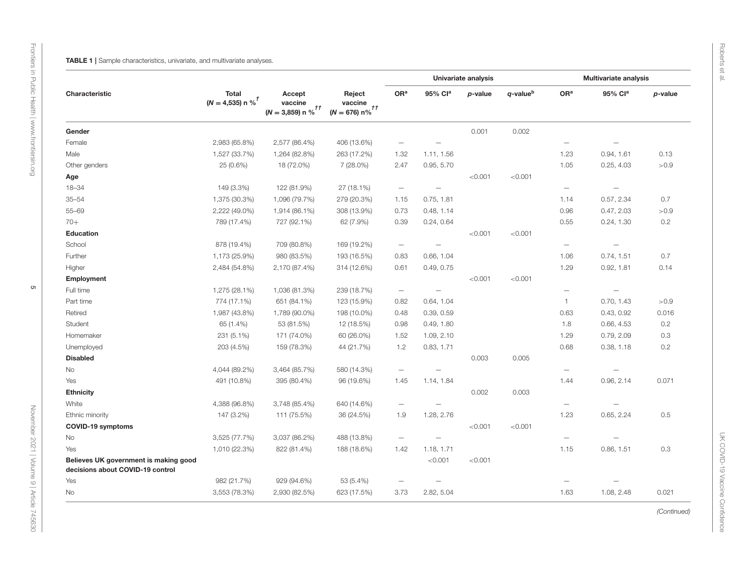<span id="page-4-0"></span>

|                                                                           | <b>Total</b><br>$(N = 4,535)$ n % <sup>†</sup> |                                                      |                                                    |                          | <b>Univariate analysis</b> |            |                      |                          | Multivariate analysis    |         |
|---------------------------------------------------------------------------|------------------------------------------------|------------------------------------------------------|----------------------------------------------------|--------------------------|----------------------------|------------|----------------------|--------------------------|--------------------------|---------|
| Characteristic                                                            |                                                | Accept<br>vaccine<br>$(N = 3,859)$ n % <sup>††</sup> | Reject<br>vaccine<br>$(N = 676) n\%$ <sup>††</sup> | OR <sup>a</sup>          | 95% Cla                    | $p$ -value | q-value <sup>b</sup> | OR <sup>a</sup>          | 95% Cl <sup>a</sup>      | p-value |
| Gender                                                                    |                                                |                                                      |                                                    |                          |                            | 0.001      | 0.002                |                          |                          |         |
| Female                                                                    | 2,983 (65.8%)                                  | 2,577 (86.4%)                                        | 406 (13.6%)                                        | $\overline{\phantom{0}}$ | $\overline{\phantom{0}}$   |            |                      | $\overline{\phantom{0}}$ | $\overline{\phantom{0}}$ |         |
| Male                                                                      | 1,527 (33.7%)                                  | 1,264 (82.8%)                                        | 263 (17.2%)                                        | 1.32                     | 1.11, 1.56                 |            |                      | 1.23                     | 0.94, 1.61               | 0.13    |
| Other genders                                                             | 25 (0.6%)                                      | 18 (72.0%)                                           | 7 (28.0%)                                          | 2.47                     | 0.95, 5.70                 |            |                      | 1.05                     | 0.25, 4.03               | >0.9    |
| Age                                                                       |                                                |                                                      |                                                    |                          |                            | < 0.001    | < 0.001              |                          |                          |         |
| $18 - 34$                                                                 | 149 (3.3%)                                     | 122 (81.9%)                                          | 27 (18.1%)                                         | $\overline{\phantom{m}}$ | $\overline{\phantom{m}}$   |            |                      | $\overline{\phantom{m}}$ | $\overline{\phantom{m}}$ |         |
| $35 - 54$                                                                 | 1,375 (30.3%)                                  | 1,096 (79.7%)                                        | 279 (20.3%)                                        | 1.15                     | 0.75, 1.81                 |            |                      | 1.14                     | 0.57, 2.34               | 0.7     |
| $55 - 69$                                                                 | 2,222 (49.0%)                                  | 1,914 (86.1%)                                        | 308 (13.9%)                                        | 0.73                     | 0.48, 1.14                 |            |                      | 0.96                     | 0.47, 2.03               | >0.9    |
| $70+$                                                                     | 789 (17.4%)                                    | 727 (92.1%)                                          | 62 (7.9%)                                          | 0.39                     | 0.24, 0.64                 |            |                      | 0.55                     | 0.24, 1.30               | 0.2     |
| <b>Education</b>                                                          |                                                |                                                      |                                                    |                          |                            | < 0.001    | < 0.001              |                          |                          |         |
| School                                                                    | 878 (19.4%)                                    | 709 (80.8%)                                          | 169 (19.2%)                                        | $\overline{\phantom{m}}$ | $\overline{\phantom{m}}$   |            |                      | $\overline{\phantom{m}}$ | $\overline{\phantom{0}}$ |         |
| Further                                                                   | 1,173 (25.9%)                                  | 980 (83.5%)                                          | 193 (16.5%)                                        | 0.83                     | 0.66, 1.04                 |            |                      | 1.06                     | 0.74, 1.51               | 0.7     |
| Higher                                                                    | 2,484 (54.8%)                                  | 2,170 (87.4%)                                        | 314 (12.6%)                                        | 0.61                     | 0.49, 0.75                 |            |                      | 1.29                     | 0.92, 1.81               | 0.14    |
| <b>Employment</b>                                                         |                                                |                                                      |                                                    |                          |                            | < 0.001    | < 0.001              |                          |                          |         |
| Full time                                                                 | 1,275 (28.1%)                                  | 1,036 (81.3%)                                        | 239 (18.7%)                                        | $\overline{\phantom{m}}$ | $\overline{\phantom{m}}$   |            |                      | $\overline{\phantom{0}}$ | $\overline{\phantom{m}}$ |         |
| Part time                                                                 | 774 (17.1%)                                    | 651 (84.1%)                                          | 123 (15.9%)                                        | 0.82                     | 0.64, 1.04                 |            |                      | $\mathbf{1}$             | 0.70, 1.43               | >0.9    |
| Retired                                                                   | 1,987 (43.8%)                                  | 1,789 (90.0%)                                        | 198 (10.0%)                                        | 0.48                     | 0.39, 0.59                 |            |                      | 0.63                     | 0.43, 0.92               | 0.016   |
| Student                                                                   | 65 (1.4%)                                      | 53 (81.5%)                                           | 12 (18.5%)                                         | 0.98                     | 0.49, 1.80                 |            |                      | 1.8                      | 0.66, 4.53               | 0.2     |
| Homemaker                                                                 | 231 (5.1%)                                     | 171 (74.0%)                                          | 60 (26.0%)                                         | 1.52                     | 1.09, 2.10                 |            |                      | 1.29                     | 0.79, 2.09               | 0.3     |
| Unemployed                                                                | 203 (4.5%)                                     | 159 (78.3%)                                          | 44 (21.7%)                                         | 1.2                      | 0.83, 1.71                 |            |                      | 0.68                     | 0.38, 1.18               | 0.2     |
| <b>Disabled</b>                                                           |                                                |                                                      |                                                    |                          |                            | 0.003      | 0.005                |                          |                          |         |
| No                                                                        | 4,044 (89.2%)                                  | 3,464 (85.7%)                                        | 580 (14.3%)                                        | $\overline{\phantom{m}}$ | $\qquad \qquad$            |            |                      | $\qquad \qquad -$        |                          |         |
| Yes                                                                       | 491 (10.8%)                                    | 395 (80.4%)                                          | 96 (19.6%)                                         | 1.45                     | 1.14, 1.84                 |            |                      | 1.44                     | 0.96, 2.14               | 0.071   |
| <b>Ethnicity</b>                                                          |                                                |                                                      |                                                    |                          |                            | 0.002      | 0.003                |                          |                          |         |
| White                                                                     | 4,388 (96.8%)                                  | 3,748 (85.4%)                                        | 640 (14.6%)                                        | $\overline{\phantom{m}}$ | $\qquad \qquad -$          |            |                      | $\qquad \qquad -$        | $\overline{\phantom{m}}$ |         |
| Ethnic minority                                                           | 147 (3.2%)                                     | 111 (75.5%)                                          | 36 (24.5%)                                         | 1.9                      | 1.28, 2.76                 |            |                      | 1.23                     | 0.65, 2.24               | 0.5     |
| COVID-19 symptoms                                                         |                                                |                                                      |                                                    |                          |                            | < 0.001    | < 0.001              |                          |                          |         |
| No                                                                        | 3,525 (77.7%)                                  | 3,037 (86.2%)                                        | 488 (13.8%)                                        | $\overline{\phantom{m}}$ | $\overline{\phantom{0}}$   |            |                      |                          | $\overline{\phantom{0}}$ |         |
| Yes                                                                       | 1,010 (22.3%)                                  | 822 (81.4%)                                          | 188 (18.6%)                                        | 1.42                     | 1.18, 1.71                 |            |                      | 1.15                     | 0.86, 1.51               | 0.3     |
| Believes UK government is making good<br>decisions about COVID-19 control |                                                |                                                      |                                                    |                          | < 0.001                    | < 0.001    |                      |                          |                          |         |
| Yes                                                                       | 982 (21.7%)                                    | 929 (94.6%)                                          | 53 (5.4%)                                          | $\overline{\phantom{m}}$ | $\overline{\phantom{m}}$   |            |                      |                          |                          |         |
| No                                                                        | 3,553 (78.3%)                                  | 2,930 (82.5%)                                        | 623 (17.5%)                                        | 3.73                     | 2.82, 5.04                 |            |                      | 1.63                     | 1.08, 2.48               | 0.021   |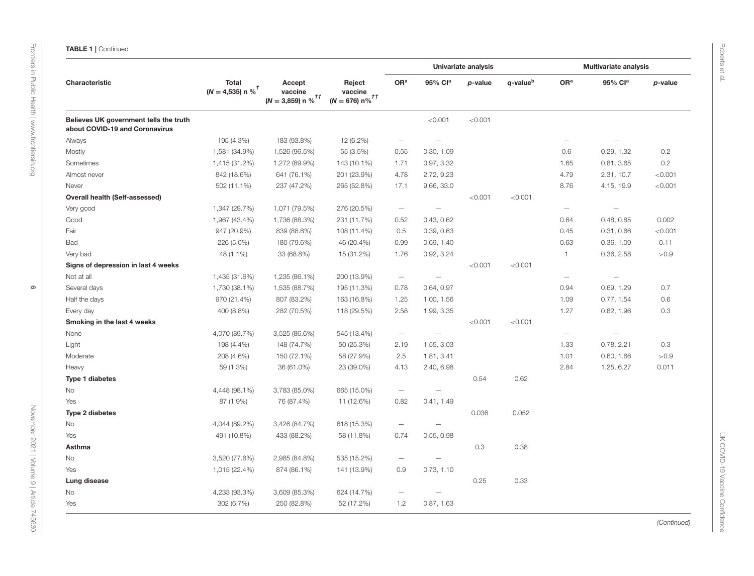|                                                                          | <b>Total</b><br>$(N = 4,535)$ n % <sup>†</sup> | Accept<br>vaccine<br>$(N = 3,859)$ n % <sup>††</sup> | Reject<br>vaccine<br>$(N = 676) n\%$ <sup>††</sup> | Univariate analysis      |                          |         |                      | <b>Multivariate analysis</b> |                          |         |  |
|--------------------------------------------------------------------------|------------------------------------------------|------------------------------------------------------|----------------------------------------------------|--------------------------|--------------------------|---------|----------------------|------------------------------|--------------------------|---------|--|
| Characteristic                                                           |                                                |                                                      |                                                    | OR <sup>a</sup>          | 95% Cla                  | p-value | q-value <sup>b</sup> | OR <sup>a</sup>              | 95% Cla                  | p-value |  |
| Believes UK government tells the truth<br>about COVID-19 and Coronavirus |                                                |                                                      |                                                    |                          | < 0.001                  | < 0.001 |                      |                              |                          |         |  |
| Always                                                                   | 195 (4.3%)                                     | 183 (93.8%)                                          | 12 (6.2%)                                          | $\overline{\phantom{m}}$ | $\overline{\phantom{m}}$ |         |                      | $\overline{\phantom{m}}$     |                          |         |  |
| Mostly                                                                   | 1,581 (34.9%)                                  | 1,526 (96.5%)                                        | 55 (3.5%)                                          | 0.55                     | 0.30, 1.09               |         |                      | 0.6                          | 0.29, 1.32               | 0.2     |  |
| Sometimes                                                                | 1,415 (31.2%)                                  | 1,272 (89.9%)                                        | 143 (10.1%)                                        | 1.71                     | 0.97, 3.32               |         |                      | 1.65                         | 0.81, 3.65               | 0.2     |  |
| Almost never                                                             | 842 (18.6%)                                    | 641 (76.1%)                                          | 201 (23.9%)                                        | 4.78                     | 2.72, 9.23               |         |                      | 4.79                         | 2.31, 10.7               | < 0.001 |  |
| Never                                                                    | 502 (11.1%)                                    | 237 (47.2%)                                          | 265 (52.8%)                                        | 17.1                     | 9.66, 33.0               |         |                      | 8.76                         | 4.15, 19.9               | < 0.001 |  |
| <b>Overall health (Self-assessed)</b>                                    |                                                |                                                      |                                                    |                          |                          | < 0.001 | < 0.001              |                              |                          |         |  |
| Very good                                                                | 1,347 (29.7%)                                  | 1,071 (79.5%)                                        | 276 (20.5%)                                        | $\overline{\phantom{m}}$ | $\overline{\phantom{m}}$ |         |                      | $\qquad \qquad -$            | $\overline{\phantom{m}}$ |         |  |
| Good                                                                     | 1,967 (43.4%)                                  | 1,736 (88.3%)                                        | 231 (11.7%)                                        | 0.52                     | 0.43, 0.62               |         |                      | 0.64                         | 0.48, 0.85               | 0.002   |  |
| Fair                                                                     | 947 (20.9%)                                    | 839 (88.6%)                                          | 108 (11.4%)                                        | 0.5                      | 0.39, 0.63               |         |                      | 0.45                         | 0.31, 0.66               | < 0.001 |  |
| Bad                                                                      | 226 (5.0%)                                     | 180 (79.6%)                                          | 46 (20.4%)                                         | 0.99                     | 0.69, 1.40               |         |                      | 0.63                         | 0.36, 1.09               | 0.11    |  |
| Very bad                                                                 | 48 (1.1%)                                      | 33 (68.8%)                                           | 15 (31.2%)                                         | 1.76                     | 0.92, 3.24               |         |                      | 1                            | 0.36, 2.58               | >0.9    |  |
| Signs of depression in last 4 weeks                                      |                                                |                                                      |                                                    |                          |                          | < 0.001 | < 0.001              |                              |                          |         |  |
| Not at all                                                               | 1,435 (31.6%)                                  | 1,235 (86.1%)                                        | 200 (13.9%)                                        | $\overline{\phantom{m}}$ | $\overline{\phantom{m}}$ |         |                      | $\overline{\phantom{m}}$     | $\overline{\phantom{0}}$ |         |  |
| Several days                                                             | 1,730 (38.1%)                                  | 1,535 (88.7%)                                        | 195 (11.3%)                                        | 0.78                     | 0.64, 0.97               |         |                      | 0.94                         | 0.69, 1.29               | 0.7     |  |
| Half the days                                                            | 970 (21.4%)                                    | 807 (83.2%)                                          | 163 (16.8%)                                        | 1.25                     | 1.00, 1.56               |         |                      | 1.09                         | 0.77, 1.54               | 0.6     |  |
| Every day                                                                | 400 (8.8%)                                     | 282 (70.5%)                                          | 118 (29.5%)                                        | 2.58                     | 1.99, 3.35               |         |                      | 1.27                         | 0.82, 1.96               | 0.3     |  |
| Smoking in the last 4 weeks                                              |                                                |                                                      |                                                    |                          |                          | < 0.001 | < 0.001              |                              |                          |         |  |
| None                                                                     | 4,070 (89.7%)                                  | 3,525 (86.6%)                                        | 545 (13.4%)                                        | $\overline{\phantom{m}}$ | $\overline{\phantom{m}}$ |         |                      |                              |                          |         |  |
| Light                                                                    | 198 (4.4%)                                     | 148 (74.7%)                                          | 50 (25.3%)                                         | 2.19                     | 1.55, 3.03               |         |                      | 1.33                         | 0.78, 2.21               | 0.3     |  |
| Moderate                                                                 | 208 (4.6%)                                     | 150 (72.1%)                                          | 58 (27.9%)                                         | 2.5                      | 1.81, 3.41               |         |                      | 1.01                         | 0.60, 1.66               | >0.9    |  |
| Heavy                                                                    | 59 (1.3%)                                      | 36 (61.0%)                                           | 23 (39.0%)                                         | 4.13                     | 2.40, 6.98               |         |                      | 2.84                         | 1.25, 6.27               | 0.011   |  |
| <b>Type 1 diabetes</b>                                                   |                                                |                                                      |                                                    |                          |                          | 0.54    | 0.62                 |                              |                          |         |  |
| No                                                                       | 4,448 (98.1%)                                  | 3,783 (85.0%)                                        | 665 (15.0%)                                        | $\overline{\phantom{m}}$ |                          |         |                      |                              |                          |         |  |
| Yes                                                                      | 87 (1.9%)                                      | 76 (87.4%)                                           | 11 (12.6%)                                         | 0.82                     | 0.41, 1.49               |         |                      |                              |                          |         |  |
| Type 2 diabetes                                                          |                                                |                                                      |                                                    |                          |                          | 0.036   | 0.052                |                              |                          |         |  |
| No                                                                       | 4,044 (89.2%)                                  | 3,426 (84.7%)                                        | 618 (15.3%)                                        | $\overline{\phantom{m}}$ |                          |         |                      |                              |                          |         |  |
| Yes                                                                      | 491 (10.8%)                                    | 433 (88.2%)                                          | 58 (11.8%)                                         | 0.74                     | 0.55, 0.98               |         |                      |                              |                          |         |  |
| Asthma                                                                   |                                                |                                                      |                                                    |                          |                          | 0.3     | 0.38                 |                              |                          |         |  |
| No                                                                       | 3,520 (77.6%)                                  | 2,985 (84.8%)                                        | 535 (15.2%)                                        | $\overline{\phantom{m}}$ |                          |         |                      |                              |                          |         |  |
| Yes                                                                      | 1,015 (22.4%)                                  | 874 (86.1%)                                          | 141 (13.9%)                                        | 0.9                      | 0.73, 1.10               |         |                      |                              |                          |         |  |
| Lung disease                                                             |                                                |                                                      |                                                    |                          |                          | 0.25    | 0.33                 |                              |                          |         |  |
| No                                                                       | 4,233 (93.3%)                                  | 3,609 (85.3%)                                        | 624 (14.7%)                                        | $\overline{\phantom{m}}$ |                          |         |                      |                              |                          |         |  |
| Yes                                                                      | 302 (6.7%)                                     | 250 (82.8%)                                          | 52 (17.2%)                                         | 1.2                      | 0.87, 1.63               |         |                      |                              |                          |         |  |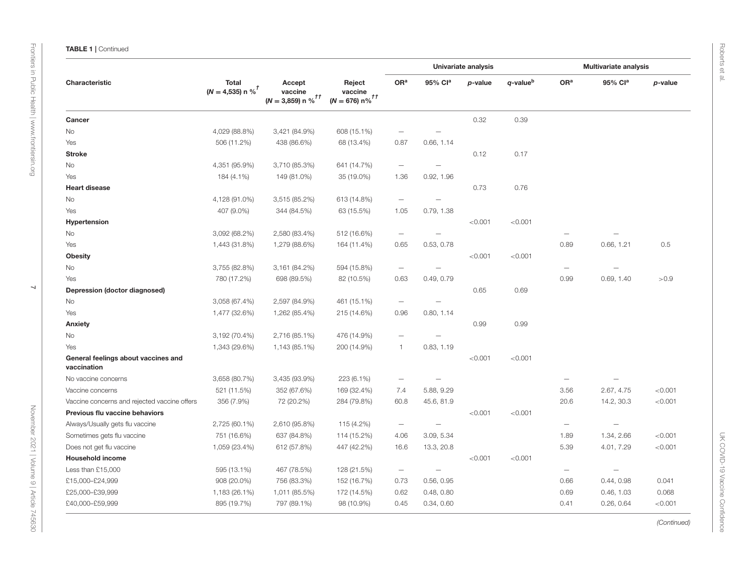|                                                    | <b>Total</b><br>$(N = 4,535)$ n % <sup>†</sup> |                                                        | Reject<br>vaccine<br>$(N = 676) n\%$ <sup>††</sup> | Univariate analysis      |                          |         |                      |                          | <b>Multivariate analysis</b> |         |
|----------------------------------------------------|------------------------------------------------|--------------------------------------------------------|----------------------------------------------------|--------------------------|--------------------------|---------|----------------------|--------------------------|------------------------------|---------|
| Characteristic                                     |                                                | Accept<br>vaccine<br>$(N=3,\!859)$ n $\%^{f\,\dagger}$ |                                                    | OR <sup>a</sup>          | 95% Cla                  | p-value | q-value <sup>b</sup> | OR <sup>a</sup>          | 95% Cla                      | p-value |
| Cancer                                             |                                                |                                                        |                                                    |                          |                          | 0.32    | 0.39                 |                          |                              |         |
| No                                                 | 4,029 (88.8%)                                  | 3,421 (84.9%)                                          | 608 (15.1%)                                        | $\overline{\phantom{0}}$ | $\overline{\phantom{m}}$ |         |                      |                          |                              |         |
| Yes                                                | 506 (11.2%)                                    | 438 (86.6%)                                            | 68 (13.4%)                                         | 0.87                     | 0.66, 1.14               |         |                      |                          |                              |         |
| <b>Stroke</b>                                      |                                                |                                                        |                                                    |                          |                          | 0.12    | 0.17                 |                          |                              |         |
| No                                                 | 4,351 (95.9%)                                  | 3,710 (85.3%)                                          | 641 (14.7%)                                        | $\overline{\phantom{m}}$ |                          |         |                      |                          |                              |         |
| Yes                                                | 184 (4.1%)                                     | 149 (81.0%)                                            | 35 (19.0%)                                         | 1.36                     | 0.92, 1.96               |         |                      |                          |                              |         |
| <b>Heart disease</b>                               |                                                |                                                        |                                                    |                          |                          | 0.73    | 0.76                 |                          |                              |         |
| No                                                 | 4,128 (91.0%)                                  | 3,515 (85.2%)                                          | 613 (14.8%)                                        | $\overline{\phantom{m}}$ | —<br>—                   |         |                      |                          |                              |         |
| Yes                                                | 407 (9.0%)                                     | 344 (84.5%)                                            | 63 (15.5%)                                         | 1.05                     | 0.79, 1.38               |         |                      |                          |                              |         |
| Hypertension                                       |                                                |                                                        |                                                    |                          |                          | < 0.001 | < 0.001              |                          |                              |         |
| No                                                 | 3,092 (68.2%)                                  | 2,580 (83.4%)                                          | 512 (16.6%)                                        | $\overline{\phantom{m}}$ |                          |         |                      |                          |                              |         |
| Yes                                                | 1,443 (31.8%)                                  | 1,279 (88.6%)                                          | 164 (11.4%)                                        | 0.65                     | 0.53, 0.78               |         |                      | 0.89                     | 0.66, 1.21                   | 0.5     |
| <b>Obesity</b>                                     |                                                |                                                        |                                                    |                          |                          | < 0.001 | < 0.001              |                          |                              |         |
| No                                                 | 3,755 (82.8%)                                  | 3,161 (84.2%)                                          | 594 (15.8%)                                        | $\overline{\phantom{m}}$ |                          |         |                      | $\overline{\phantom{0}}$ |                              |         |
| Yes                                                | 780 (17.2%)                                    | 698 (89.5%)                                            | 82 (10.5%)                                         | 0.63                     | 0.49, 0.79               |         |                      | 0.99                     | 0.69, 1.40                   | >0.9    |
| Depression (doctor diagnosed)                      |                                                |                                                        |                                                    |                          |                          | 0.65    | 0.69                 |                          |                              |         |
| No                                                 | 3,058 (67.4%)                                  | 2,597 (84.9%)                                          | 461 (15.1%)                                        | $\overline{\phantom{m}}$ |                          |         |                      |                          |                              |         |
| Yes                                                | 1,477 (32.6%)                                  | 1,262 (85.4%)                                          | 215 (14.6%)                                        | 0.96                     | 0.80, 1.14               |         |                      |                          |                              |         |
| Anxiety                                            |                                                |                                                        |                                                    |                          |                          | 0.99    | 0.99                 |                          |                              |         |
| No                                                 | 3,192 (70.4%)                                  | 2,716 (85.1%)                                          | 476 (14.9%)                                        | $\qquad \qquad -$        |                          |         |                      |                          |                              |         |
| Yes                                                | 1,343 (29.6%)                                  | 1,143 (85.1%)                                          | 200 (14.9%)                                        | $\mathbf{1}$             | 0.83, 1.19               |         |                      |                          |                              |         |
| General feelings about vaccines and<br>vaccination |                                                |                                                        |                                                    |                          |                          | < 0.001 | < 0.001              |                          |                              |         |
| No vaccine concerns                                | 3,658 (80.7%)                                  | 3,435 (93.9%)                                          | 223 (6.1%)                                         | $\overline{\phantom{m}}$ | $\overline{\phantom{0}}$ |         |                      | $\overline{\phantom{m}}$ |                              |         |
| Vaccine concerns                                   | 521 (11.5%)                                    | 352 (67.6%)                                            | 169 (32.4%)                                        | 7.4                      | 5.88, 9.29               |         |                      | 3.56                     | 2.67, 4.75                   | < 0.001 |
| Vaccine concerns and rejected vaccine offers       | 356 (7.9%)                                     | 72 (20.2%)                                             | 284 (79.8%)                                        | 60.8                     | 45.6, 81.9               |         |                      | 20.6                     | 14.2, 30.3                   | < 0.001 |
| Previous flu vaccine behaviors                     |                                                |                                                        |                                                    |                          |                          | < 0.001 | < 0.001              |                          |                              |         |
| Always/Usually gets flu vaccine                    | 2,725 (60.1%)                                  | 2,610 (95.8%)                                          | 115 (4.2%)                                         | $\overline{\phantom{m}}$ | $\overline{\phantom{0}}$ |         |                      | $\overline{\phantom{m}}$ | $\overline{\phantom{0}}$     |         |
| Sometimes gets flu vaccine                         | 751 (16.6%)                                    | 637 (84.8%)                                            | 114 (15.2%)                                        | 4.06                     | 3.09, 5.34               |         |                      | 1.89                     | 1.34, 2.66                   | < 0.001 |
| Does not get flu vaccine                           | 1,059 (23.4%)                                  | 612 (57.8%)                                            | 447 (42.2%)                                        | 16.6                     | 13.3, 20.8               |         |                      | 5.39                     | 4.01, 7.29                   | < 0.001 |
| <b>Household income</b>                            |                                                |                                                        |                                                    |                          |                          | < 0.001 | < 0.001              |                          |                              |         |
| Less than £15,000                                  | 595 (13.1%)                                    | 467 (78.5%)                                            | 128 (21.5%)                                        | $\overline{\phantom{m}}$ | $\overline{\phantom{0}}$ |         |                      | $\overline{\phantom{a}}$ | ÷                            |         |
| £15,000-£24,999                                    | 908 (20.0%)                                    | 756 (83.3%)                                            | 152 (16.7%)                                        | 0.73                     | 0.56, 0.95               |         |                      | 0.66                     | 0.44, 0.98                   | 0.041   |
| £25,000-£39,999                                    | 1,183 (26.1%)                                  | 1,011 (85.5%)                                          | 172 (14.5%)                                        | 0.62                     | 0.48, 0.80               |         |                      | 0.69                     | 0.46, 1.03                   | 0.068   |
| £40,000-£59,999                                    | 895 (19.7%)                                    | 797 (89.1%)                                            | 98 (10.9%)                                         | 0.45                     | 0.34, 0.60               |         |                      | 0.41                     | 0.26, 0.64                   | < 0.001 |

[Frontiers in Public Health](https://www.frontiersin.org/journals/public-health)| [www.frontiersin.org](https://www.frontiersin.org)

Frontiers in Public Health | www.frontiersin.org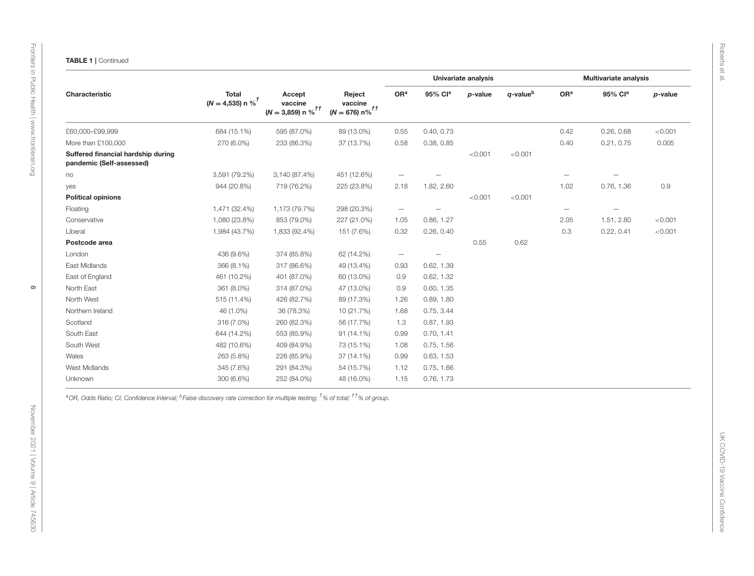|                                                                |                                                |                                 | Accept<br>Reject<br>vaccine<br>vaccine<br>$(N = 676) n\%$ <sup>††</sup> | Univariate analysis      |                          |         |                | <b>Multivariate analysis</b> |                          |         |
|----------------------------------------------------------------|------------------------------------------------|---------------------------------|-------------------------------------------------------------------------|--------------------------|--------------------------|---------|----------------|------------------------------|--------------------------|---------|
| Characteristic                                                 | <b>Total</b><br>$(N = 4,535)$ n % <sup>t</sup> | $(N = 3,859)$ n % <sup>th</sup> |                                                                         | OR <sup>a</sup>          | 95% Cla                  | p-value | $q$ -value $b$ | OR <sup>a</sup>              | 95% Cla                  | p-value |
| £60,000-£99,999                                                | 684 (15.1%)                                    | 595 (87.0%)                     | 89 (13.0%)                                                              | 0.55                     | 0.40, 0.73               |         |                | 0.42                         | 0.26, 0.68               | < 0.001 |
| More than £100,000                                             | 270 (6.0%)                                     | 233 (86.3%)                     | 37 (13.7%)                                                              | 0.58                     | 0.38, 0.85               |         |                | 0.40                         | 0.21, 0.75               | 0.005   |
| Suffered financial hardship during<br>pandemic (Self-assessed) |                                                |                                 |                                                                         |                          |                          | < 0.001 | < 0.001        |                              |                          |         |
| no                                                             | 3,591 (79.2%)                                  | 3,140 (87.4%)                   | 451 (12.6%)                                                             | $\overline{\phantom{a}}$ | $\overline{\phantom{m}}$ |         |                | $\qquad \qquad -$            | $\overline{\phantom{m}}$ |         |
| yes                                                            | 944 (20.8%)                                    | 719 (76.2%)                     | 225 (23.8%)                                                             | 2.18                     | 1.82, 2.60               |         |                | 1.02                         | 0.76, 1.36               | 0.9     |
| <b>Political opinions</b>                                      |                                                |                                 |                                                                         |                          |                          | < 0.001 | < 0.001        |                              |                          |         |
| Floating                                                       | 1,471 (32.4%)                                  | 1,173 (79.7%)                   | 298 (20.3%)                                                             | $\overline{\phantom{m}}$ | $\overline{\phantom{m}}$ |         |                | $\qquad \qquad -$            | $\qquad \qquad -$        |         |
| Conservative                                                   | 1,080 (23.8%)                                  | 853 (79.0%)                     | 227 (21.0%)                                                             | 1.05                     | 0.86, 1.27               |         |                | 2.05                         | 1.51, 2.80               | < 0.001 |
| Liberal                                                        | 1,984 (43.7%)                                  | 1,833 (92.4%)                   | 151 (7.6%)                                                              | 0.32                     | 0.26, 0.40               |         |                | 0.3                          | 0.22, 0.41               | < 0.001 |
| Postcode area                                                  |                                                |                                 |                                                                         |                          |                          | 0.55    | 0.62           |                              |                          |         |
| London                                                         | 436 (9.6%)                                     | 374 (85.8%)                     | 62 (14.2%)                                                              | $\overline{\phantom{a}}$ | $\overline{\phantom{0}}$ |         |                |                              |                          |         |
| East Midlands                                                  | 366 (8.1%)                                     | 317 (86.6%)                     | 49 (13.4%)                                                              | 0.93                     | 0.62, 1.39               |         |                |                              |                          |         |
| East of England                                                | 461 (10.2%)                                    | 401 (87.0%)                     | 60 (13.0%)                                                              | 0.9                      | 0.62, 1.32               |         |                |                              |                          |         |
| North East                                                     | 361 (8.0%)                                     | 314 (87.0%)                     | 47 (13.0%)                                                              | $0.9\,$                  | 0.60, 1.35               |         |                |                              |                          |         |
| North West                                                     | 515 (11.4%)                                    | 426 (82.7%)                     | 89 (17.3%)                                                              | 1.26                     | 0.89, 1.80               |         |                |                              |                          |         |
| Northern Ireland                                               | 46 (1.0%)                                      | 36 (78.3%)                      | 10 (21.7%)                                                              | 1.68                     | 0.75, 3.44               |         |                |                              |                          |         |
| Scotland                                                       | 316 (7.0%)                                     | 260 (82.3%)                     | 56 (17.7%)                                                              | 1.3                      | 0.87, 1.93               |         |                |                              |                          |         |
| South East                                                     | 644 (14.2%)                                    | 553 (85.9%)                     | $91(14.1\%)$                                                            | 0.99                     | 0.70, 1.41               |         |                |                              |                          |         |
| South West                                                     | 482 (10.6%)                                    | 409 (84.9%)                     | 73 (15.1%)                                                              | 1.08                     | 0.75, 1.56               |         |                |                              |                          |         |
| Wales                                                          | 263 (5.8%)                                     | 226 (85.9%)                     | 37 (14.1%)                                                              | 0.99                     | 0.63, 1.53               |         |                |                              |                          |         |
| West Midlands                                                  | 345 (7.6%)                                     | 291 (84.3%)                     | 54 (15.7%)                                                              | 1.12                     | 0.75, 1.66               |         |                |                              |                          |         |
| Unknown                                                        | 300 (6.6%)                                     | 252 (84.0%)                     | 48 (16.0%)                                                              | 1.15                     | 0.76, 1.73               |         |                |                              |                          |         |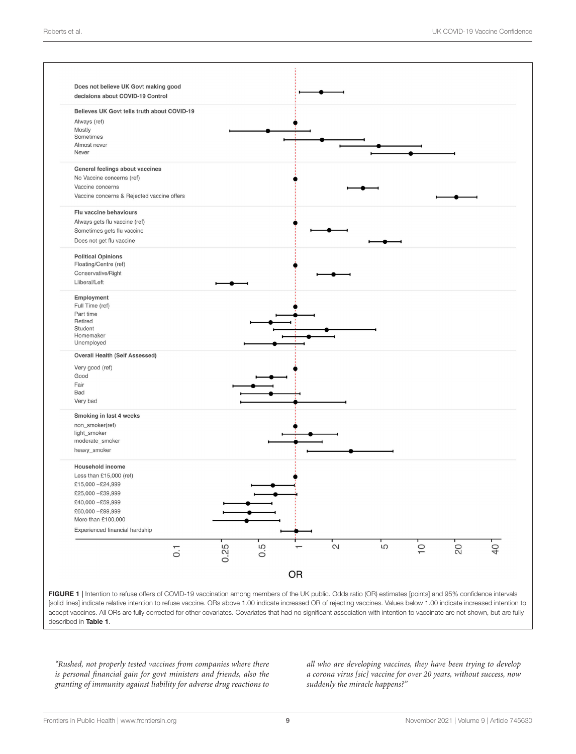

<span id="page-8-0"></span>FIGURE 1 | Intention to refuse offers of COVID-19 vaccination among members of the UK public. Odds ratio (OR) estimates [points] and 95% confidence intervals [solid lines] indicate relative intention to refuse vaccine. ORs above 1.00 indicate increased OR of rejecting vaccines. Values below 1.00 indicate increased intention to accept vaccines. All ORs are fully corrected for other covariates. Covariates that had no significant association with intention to vaccinate are not shown, but are fully described in [Table 1](#page-4-0).

"Rushed, not properly tested vaccines from companies where there is personal financial gain for govt ministers and friends, also the granting of immunity against liability for adverse drug reactions to

all who are developing vaccines, they have been trying to develop a corona virus [sic] vaccine for over 20 years, without success, now suddenly the miracle happens?"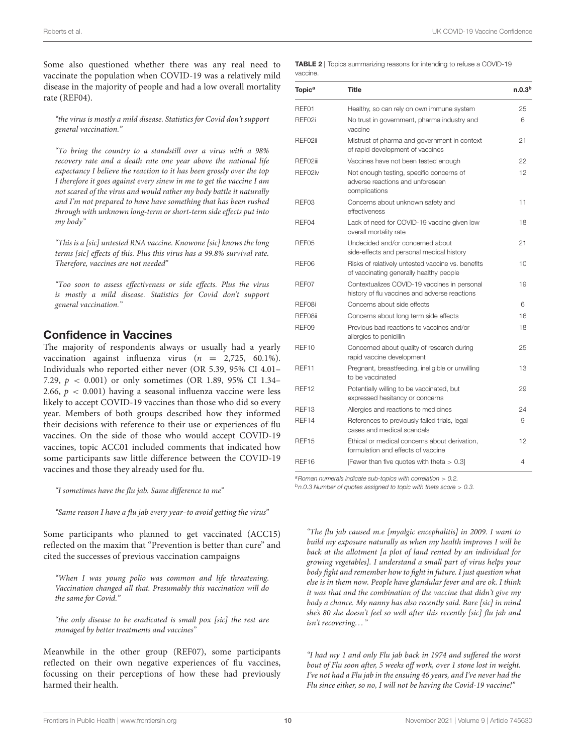Some also questioned whether there was any real need to vaccinate the population when COVID-19 was a relatively mild disease in the majority of people and had a low overall mortality rate (REF04).

"the virus is mostly a mild disease. Statistics for Covid don't support general vaccination."

"To bring the country to a standstill over a virus with a 98% recovery rate and a death rate one year above the national life expectancy I believe the reaction to it has been grossly over the top I therefore it goes against every sinew in me to get the vaccine I am not scared of the virus and would rather my body battle it naturally and I'm not prepared to have have something that has been rushed through with unknown long-term or short-term side effects put into my body"

"This is a [sic] untested RNA vaccine. Knowone [sic] knows the long terms [sic] effects of this. Plus this virus has a 99.8% survival rate. Therefore, vaccines are not needed"

"Too soon to assess effectiveness or side effects. Plus the virus is mostly a mild disease. Statistics for Covid don't support general vaccination."

#### Confidence in Vaccines

The majority of respondents always or usually had a yearly vaccination against influenza virus ( $n = 2,725, 60.1\%$ ). Individuals who reported either never (OR 5.39, 95% CI 4.01– 7.29,  $p < 0.001$ ) or only sometimes (OR 1.89, 95% CI 1.34– 2.66,  $p < 0.001$ ) having a seasonal influenza vaccine were less likely to accept COVID-19 vaccines than those who did so every year. Members of both groups described how they informed their decisions with reference to their use or experiences of flu vaccines. On the side of those who would accept COVID-19 vaccines, topic ACC01 included comments that indicated how some participants saw little difference between the COVID-19 vaccines and those they already used for flu.

"I sometimes have the flu jab. Same difference to me"

"Same reason I have a flu jab every year–to avoid getting the virus"

Some participants who planned to get vaccinated (ACC15) reflected on the maxim that "Prevention is better than cure" and cited the successes of previous vaccination campaigns

"When I was young polio was common and life threatening. Vaccination changed all that. Presumably this vaccination will do the same for Covid."

"the only disease to be eradicated is small pox [sic] the rest are managed by better treatments and vaccines"

Meanwhile in the other group (REF07), some participants reflected on their own negative experiences of flu vaccines, focussing on their perceptions of how these had previously harmed their health.

<span id="page-9-0"></span>TABLE 2 | Topics summarizing reasons for intending to refuse a COVID-19 vaccine.

| Topic <sup>a</sup> | <b>Title</b>                                                                                  | n.0.3 <sup>b</sup> |
|--------------------|-----------------------------------------------------------------------------------------------|--------------------|
| REF01              | Healthy, so can rely on own immune system                                                     | 25                 |
| REF02i             | No trust in government, pharma industry and<br>vaccine                                        | 6                  |
| REF02ii            | Mistrust of pharma and government in context<br>of rapid development of vaccines              | 21                 |
| REF02iii           | Vaccines have not been tested enough                                                          | 22                 |
| REF02iv            | Not enough testing, specific concerns of<br>adverse reactions and unforeseen<br>complications | 12                 |
| REF03              | Concerns about unknown safety and<br>effectiveness                                            | 11                 |
| REF04              | Lack of need for COVID-19 vaccine given low<br>overall mortality rate                         | 18                 |
| REF05              | Undecided and/or concerned about<br>side-effects and personal medical history                 | 21                 |
| REF06              | Risks of relatively untested vaccine vs. benefits<br>of vaccinating generally healthy people  | 10                 |
| REF07              | Contextualizes COVID-19 vaccines in personal<br>history of flu vaccines and adverse reactions | 19                 |
| REF08i             | Concerns about side effects                                                                   | 6                  |
| REF08ii            | Concerns about long term side effects                                                         | 16                 |
| REF09              | Previous bad reactions to vaccines and/or<br>allergies to penicillin                          | 18                 |
| REF <sub>10</sub>  | Concerned about quality of research during<br>rapid vaccine development                       | 25                 |
| REF11              | Pregnant, breastfeeding, ineligible or unwilling<br>to be vaccinated                          | 13                 |
| REF <sub>12</sub>  | Potentially willing to be vaccinated, but<br>expressed hesitancy or concerns                  | 29                 |
| REF <sub>13</sub>  | Allergies and reactions to medicines                                                          | 24                 |
| REF14              | References to previously failed trials, legal<br>cases and medical scandals                   | 9                  |
| REF15              | Ethical or medical concerns about derivation.<br>formulation and effects of vaccine           | 12                 |
| REF16              | [Fewer than five quotes with theta $> 0.3$ ]                                                  | 4                  |

*<sup>a</sup>Roman numerals indicate sub-topics with correlation* > *0.2.*

*<sup>b</sup>n.0.3 Number of quotes assigned to topic with theta score* > *0.3.*

"The flu jab caused m.e [myalgic encephalitis] in 2009. I want to build my exposure naturally as when my health improves I will be back at the allotment [a plot of land rented by an individual for growing vegetables]. I understand a small part of virus helps your body fight and remember how to fight in future. I just question what else is in them now. People have glandular fever and are ok. I think it was that and the combination of the vaccine that didn't give my body a chance. My nanny has also recently said. Bare [sic] in mind she's 80 she doesn't feel so well after this recently [sic] flu jab and isn't recovering..."

"I had my 1 and only Flu jab back in 1974 and suffered the worst bout of Flu soon after, 5 weeks off work, over 1 stone lost in weight. I've not had a Flu jab in the ensuing 46 years, and I've never had the Flu since either, so no, I will not be having the Covid-19 vaccine!"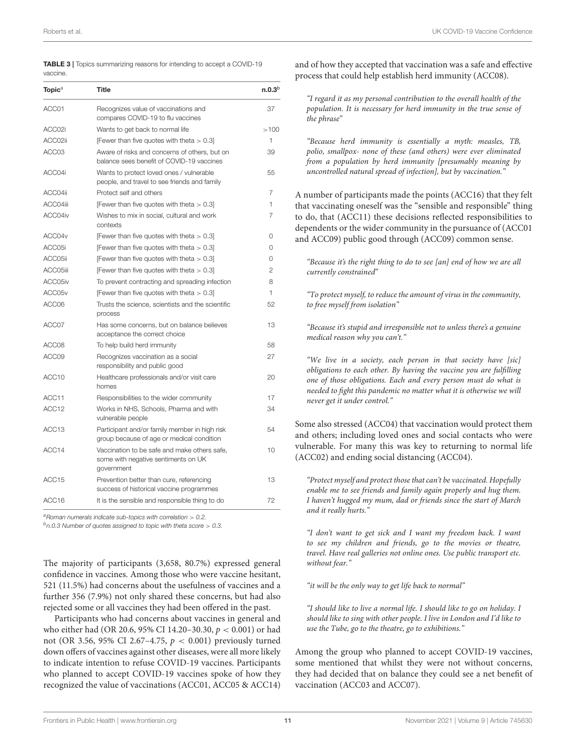<span id="page-10-0"></span>

| <b>TABLE 3</b>   Topics summarizing reasons for intending to accept a COVID-19 |  |
|--------------------------------------------------------------------------------|--|
| vaccine.                                                                       |  |

| <b>Topic</b> <sup>a</sup> | <b>Title</b>                                                                                      | n.0.3 <sup>b</sup> |
|---------------------------|---------------------------------------------------------------------------------------------------|--------------------|
| ACC01                     | Recognizes value of vaccinations and<br>compares COVID-19 to flu vaccines                         | 37                 |
| ACC02i                    | Wants to get back to normal life                                                                  | >100               |
| ACC02ii                   | [Fewer than five quotes with theta $> 0.3$ ]                                                      | 1                  |
| ACC03                     | Aware of risks and concerns of others, but on<br>balance sees benefit of COVID-19 vaccines        | 39                 |
| ACC04i                    | Wants to protect loved ones / vulnerable<br>people, and travel to see friends and family          | 55                 |
| ACC04ii                   | Protect self and others                                                                           | 7                  |
| ACC04iii                  | [Fewer than five quotes with theta $> 0.3$ ]                                                      | 1                  |
| ACC04iv                   | Wishes to mix in social, cultural and work<br>contexts                                            | 7                  |
| ACC04v                    | [Fewer than five quotes with theta $> 0.3$ ]                                                      | 0                  |
| ACC05i                    | [Fewer than five quotes with theta $> 0.3$ ]                                                      | 0                  |
| ACC05ii                   | [Fewer than five quotes with theta $> 0.3$ ]                                                      | 0                  |
| ACC05iii                  | [Fewer than five quotes with theta $> 0.3$ ]                                                      | $\overline{2}$     |
| ACC05iv                   | To prevent contracting and spreading infection                                                    | 8                  |
| ACC05 <sub>v</sub>        | [Fewer than five quotes with theta $> 0.3$ ]                                                      | 1                  |
| ACC06                     | Trusts the science, scientists and the scientific<br>process                                      | 52                 |
| ACC07                     | Has some concerns, but on balance believes<br>acceptance the correct choice                       | 13                 |
| ACC08                     | To help build herd immunity                                                                       | 58                 |
| ACC09                     | Recognizes vaccination as a social<br>responsibility and public good                              | 27                 |
| ACC10                     | Healthcare professionals and/or visit care<br>homes                                               | 20                 |
| ACC11                     | Responsibilities to the wider community                                                           | 17                 |
| ACC12                     | Works in NHS, Schools, Pharma and with<br>vulnerable people                                       | 34                 |
| ACC <sub>13</sub>         | Participant and/or family member in high risk<br>group because of age or medical condition        | 54                 |
| ACC14                     | Vaccination to be safe and make others safe,<br>some with negative sentiments on UK<br>government | 10                 |
| ACC15                     | Prevention better than cure, referencing<br>success of historical vaccine programmes              | 13                 |
| ACC16                     | It is the sensible and responsible thing to do                                                    | 72                 |

*<sup>a</sup>Roman numerals indicate sub-topics with correlation* > *0.2.*

*<sup>b</sup>n.0.3 Number of quotes assigned to topic with theta score* > *0.3.*

The majority of participants (3,658, 80.7%) expressed general confidence in vaccines. Among those who were vaccine hesitant, 521 (11.5%) had concerns about the usefulness of vaccines and a further 356 (7.9%) not only shared these concerns, but had also rejected some or all vaccines they had been offered in the past.

Participants who had concerns about vaccines in general and who either had (OR 20.6, 95% CI 14.20–30.30, p < 0.001) or had not (OR 3.56, 95% CI 2.67–4.75, p < 0.001) previously turned down offers of vaccines against other diseases, were all more likely to indicate intention to refuse COVID-19 vaccines. Participants who planned to accept COVID-19 vaccines spoke of how they recognized the value of vaccinations (ACC01, ACC05 & ACC14) and of how they accepted that vaccination was a safe and effective process that could help establish herd immunity (ACC08).

"I regard it as my personal contribution to the overall health of the population. It is necessary for herd immunity in the true sense of the phrase"

"Because herd immunity is essentially a myth: measles, TB, polio, smallpox- none of these (and others) were ever eliminated from a population by herd immunity [presumably meaning by uncontrolled natural spread of infection], but by vaccination."

A number of participants made the points (ACC16) that they felt that vaccinating oneself was the "sensible and responsible" thing to do, that (ACC11) these decisions reflected responsibilities to dependents or the wider community in the pursuance of (ACC01 and ACC09) public good through (ACC09) common sense.

"Because it's the right thing to do to see [an] end of how we are all currently constrained"

"To protect myself, to reduce the amount of virus in the community, to free myself from isolation"

"Because it's stupid and irresponsible not to unless there's a genuine medical reason why you can't."

"We live in a society, each person in that society have [sic] obligations to each other. By having the vaccine you are fulfilling one of those obligations. Each and every person must do what is needed to fight this pandemic no matter what it is otherwise we will never get it under control."

Some also stressed (ACC04) that vaccination would protect them and others; including loved ones and social contacts who were vulnerable. For many this was key to returning to normal life (ACC02) and ending social distancing (ACC04).

"Protect myself and protect those that can't be vaccinated. Hopefully enable me to see friends and family again properly and hug them. I haven't hugged my mum, dad or friends since the start of March and it really hurts."

"I don't want to get sick and I want my freedom back. I want to see my children and friends, go to the movies or theatre, travel. Have real galleries not online ones. Use public transport etc. without fear."

"it will be the only way to get life back to normal"

"I should like to live a normal life. I should like to go on holiday. I should like to sing with other people. I live in London and I'd like to use the Tube, go to the theatre, go to exhibitions."

Among the group who planned to accept COVID-19 vaccines, some mentioned that whilst they were not without concerns, they had decided that on balance they could see a net benefit of vaccination (ACC03 and ACC07).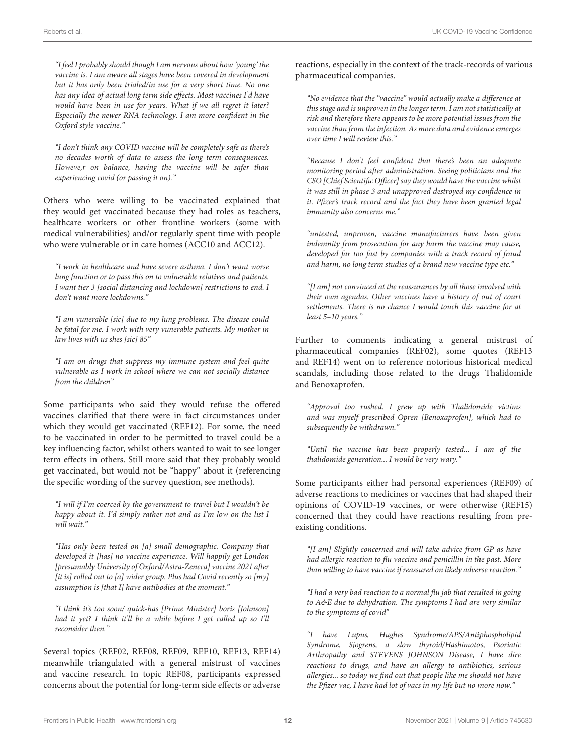"I feel I probably should though I am nervous about how 'young' the vaccine is. I am aware all stages have been covered in development but it has only been trialed/in use for a very short time. No one has any idea of actual long term side effects. Most vaccines I'd have would have been in use for years. What if we all regret it later? Especially the newer RNA technology. I am more confident in the Oxford style vaccine."

"I don't think any COVID vaccine will be completely safe as there's no decades worth of data to assess the long term consequences. Howeve,r on balance, having the vaccine will be safer than experiencing covid (or passing it on)."

Others who were willing to be vaccinated explained that they would get vaccinated because they had roles as teachers, healthcare workers or other frontline workers (some with medical vulnerabilities) and/or regularly spent time with people who were vulnerable or in care homes (ACC10 and ACC12).

"I work in healthcare and have severe asthma. I don't want worse lung function or to pass this on to vulnerable relatives and patients. I want tier 3 [social distancing and lockdown] restrictions to end. I don't want more lockdowns."

"I am vunerable [sic] due to my lung problems. The disease could be fatal for me. I work with very vunerable patients. My mother in law lives with us shes [sic] 85"

"I am on drugs that suppress my immune system and feel quite vulnerable as I work in school where we can not socially distance from the children"

Some participants who said they would refuse the offered vaccines clarified that there were in fact circumstances under which they would get vaccinated (REF12). For some, the need to be vaccinated in order to be permitted to travel could be a key influencing factor, whilst others wanted to wait to see longer term effects in others. Still more said that they probably would get vaccinated, but would not be "happy" about it (referencing the specific wording of the survey question, see methods).

"I will if I'm coerced by the government to travel but I wouldn't be happy about it. I'd simply rather not and as I'm low on the list I will wait."

"Has only been tested on [a] small demographic. Company that developed it [has] no vaccine experience. Will happily get London [presumably University of Oxford/Astra-Zeneca] vaccine 2021 after [it is] rolled out to [a] wider group. Plus had Covid recently so [my] assumption is [that I] have antibodies at the moment."

"I think it's too soon/ quick-has [Prime Minister] boris [Johnson] had it yet? I think it'll be a while before I get called up so I'll reconsider then."

Several topics (REF02, REF08, REF09, REF10, REF13, REF14) meanwhile triangulated with a general mistrust of vaccines and vaccine research. In topic REF08, participants expressed concerns about the potential for long-term side effects or adverse reactions, especially in the context of the track-records of various pharmaceutical companies.

"No evidence that the "vaccine" would actually make a difference at this stage and is unproven in the longer term. I am not statistically at risk and therefore there appears to be more potential issues from the vaccine than from the infection. As more data and evidence emerges over time I will review this."

"Because I don't feel confident that there's been an adequate monitoring period after administration. Seeing politicians and the CSO [Chief Scientific Officer] say they would have the vaccine whilst it was still in phase 3 and unapproved destroyed my confidence in it. Pfizer's track record and the fact they have been granted legal immunity also concerns me."

"untested, unproven, vaccine manufacturers have been given indemnity from prosecution for any harm the vaccine may cause, developed far too fast by companies with a track record of fraud and harm, no long term studies of a brand new vaccine type etc."

"[I am] not convinced at the reassurances by all those involved with their own agendas. Other vaccines have a history of out of court settlements. There is no chance I would touch this vaccine for at least 5–10 years."

Further to comments indicating a general mistrust of pharmaceutical companies (REF02), some quotes (REF13 and REF14) went on to reference notorious historical medical scandals, including those related to the drugs Thalidomide and Benoxaprofen.

"Approval too rushed. I grew up with Thalidomide victims and was myself prescribed Opren [Benoxaprofen], which had to subsequently be withdrawn."

"Until the vaccine has been properly tested... I am of the thalidomide generation... I would be very wary."

Some participants either had personal experiences (REF09) of adverse reactions to medicines or vaccines that had shaped their opinions of COVID-19 vaccines, or were otherwise (REF15) concerned that they could have reactions resulting from preexisting conditions.

"[I am] Slightly concerned and will take advice from GP as have had allergic reaction to flu vaccine and penicillin in the past. More than willing to have vaccine if reassured on likely adverse reaction."

"I had a very bad reaction to a normal flu jab that resulted in going to A&E due to dehydration. The symptoms I had are very similar to the symptoms of covid"

"I have Lupus, Hughes Syndrome/APS/Antiphospholipid Syndrome, Sjogrens, a slow thyroid/Hashimotos, Psoriatic Arthropathy and STEVENS JOHNSON Disease, I have dire reactions to drugs, and have an allergy to antibiotics, serious allergies... so today we find out that people like me should not have the Pfizer vac, I have had lot of vacs in my life but no more now."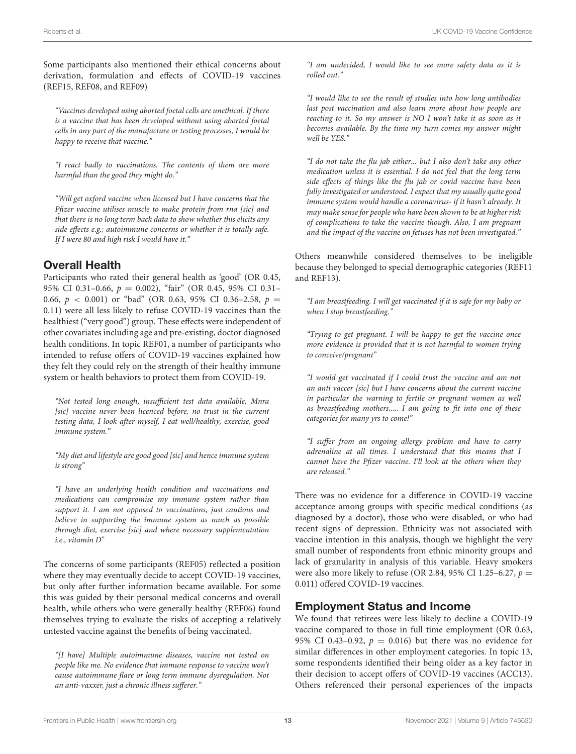Some participants also mentioned their ethical concerns about derivation, formulation and effects of COVID-19 vaccines (REF15, REF08, and REF09)

"Vaccines developed using aborted foetal cells are unethical. If there is a vaccine that has been developed without using aborted foetal cells in any part of the manufacture or testing processes, I would be happy to receive that vaccine."

"I react badly to vaccinations. The contents of them are more harmful than the good they might do."

"Will get oxford vaccine when licensed but I have concerns that the Pfizer vaccine utilises muscle to make protein from rna [sic] and that there is no long term back data to show whether this elicits any side effects e.g.; autoimmune concerns or whether it is totally safe. If I were 80 and high risk I would have it."

#### Overall Health

Participants who rated their general health as 'good' (OR 0.45, 95% CI 0.31-0.66,  $p = 0.002$ ), "fair" (OR 0.45, 95% CI 0.31-0.66,  $p < 0.001$ ) or "bad" (OR 0.63, 95% CI 0.36-2.58,  $p =$ 0.11) were all less likely to refuse COVID-19 vaccines than the healthiest ("very good") group. These effects were independent of other covariates including age and pre-existing, doctor diagnosed health conditions. In topic REF01, a number of participants who intended to refuse offers of COVID-19 vaccines explained how they felt they could rely on the strength of their healthy immune system or health behaviors to protect them from COVID-19.

"Not tested long enough, insufficient test data available, Mnra [sic] vaccine never been licenced before, no trust in the current testing data, I look after myself, I eat well/healthy, exercise, good immune system."

"My diet and lifestyle are good good [sic] and hence immune system is strong"

"I have an underlying health condition and vaccinations and medications can compromise my immune system rather than support it. I am not opposed to vaccinations, just cautious and believe in supporting the immune system as much as possible through diet, exercise [sic] and where necessary supplementation i.e., vitamin D"

The concerns of some participants (REF05) reflected a position where they may eventually decide to accept COVID-19 vaccines, but only after further information became available. For some this was guided by their personal medical concerns and overall health, while others who were generally healthy (REF06) found themselves trying to evaluate the risks of accepting a relatively untested vaccine against the benefits of being vaccinated.

"[I have] Multiple autoimmune diseases, vaccine not tested on people like me. No evidence that immune response to vaccine won't cause autoimmune flare or long term immune dysregulation. Not an anti-vaxxer, just a chronic illness sufferer."

"I am undecided, I would like to see more safety data as it is rolled out."

"I would like to see the result of studies into how long antibodies last post vaccination and also learn more about how people are reacting to it. So my answer is NO I won't take it as soon as it becomes available. By the time my turn comes my answer might well be YES."

"I do not take the flu jab either... but I also don't take any other medication unless it is essential. I do not feel that the long term side effects of things like the flu jab or covid vaccine have been fully investigated or understood. I expect that my usually quite good immune system would handle a coronavirus- if it hasn't already. It may make sense for people who have been shown to be at higher risk of complications to take the vaccine though. Also, I am pregnant and the impact of the vaccine on fetuses has not been investigated."

Others meanwhile considered themselves to be ineligible because they belonged to special demographic categories (REF11 and REF13).

"I am breastfeeding. I will get vaccinated if it is safe for my baby or when I stop breastfeeding."

"Trying to get pregnant. I will be happy to get the vaccine once more evidence is provided that it is not harmful to women trying to conceive/pregnant"

"I would get vaccinated if I could trust the vaccine and am not an anti vaccer [sic] but I have concerns about the current vaccine in particular the warning to fertile or pregnant women as well as breastfeeding mothers..... I am going to fit into one of these categories for many yrs to come!"

"I suffer from an ongoing allergy problem and have to carry adrenaline at all times. I understand that this means that I cannot have the Pfizer vaccine. I'll look at the others when they are released."

There was no evidence for a difference in COVID-19 vaccine acceptance among groups with specific medical conditions (as diagnosed by a doctor), those who were disabled, or who had recent signs of depression. Ethnicity was not associated with vaccine intention in this analysis, though we highlight the very small number of respondents from ethnic minority groups and lack of granularity in analysis of this variable. Heavy smokers were also more likely to refuse (OR 2.84, 95% CI 1.25–6.27,  $p =$ 0.011) offered COVID-19 vaccines.

#### Employment Status and Income

We found that retirees were less likely to decline a COVID-19 vaccine compared to those in full time employment (OR 0.63, 95% CI 0.43-0.92,  $p = 0.016$ ) but there was no evidence for similar differences in other employment categories. In topic 13, some respondents identified their being older as a key factor in their decision to accept offers of COVID-19 vaccines (ACC13). Others referenced their personal experiences of the impacts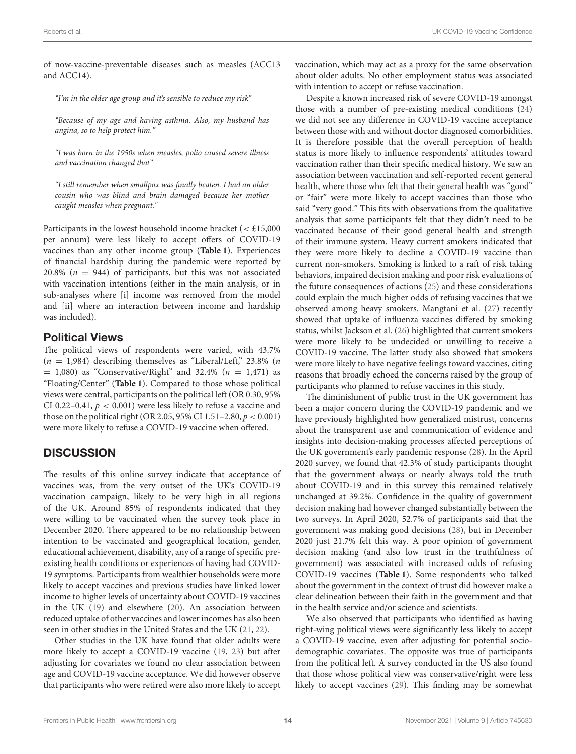of now-vaccine-preventable diseases such as measles (ACC13 and ACC14).

"I'm in the older age group and it's sensible to reduce my risk"

"Because of my age and having asthma. Also, my husband has angina, so to help protect him."

"I was born in the 1950s when measles, polio caused severe illness and vaccination changed that"

"I still remember when smallpox was finally beaten. I had an older cousin who was blind and brain damaged because her mother caught measles when pregnant."

Participants in the lowest household income bracket ( $<$  £15,000 per annum) were less likely to accept offers of COVID-19 vaccines than any other income group (**[Table 1](#page-4-0)**). Experiences of financial hardship during the pandemic were reported by 20.8% ( $n = 944$ ) of participants, but this was not associated with vaccination intentions (either in the main analysis, or in sub-analyses where [i] income was removed from the model and [ii] where an interaction between income and hardship was included).

#### Political Views

The political views of respondents were varied, with 43.7%  $(n = 1,984)$  describing themselves as "Liberal/Left," 23.8% (n  $= 1,080$ ) as "Conservative/Right" and 32.4% ( $n = 1,471$ ) as "Floating/Center" (**[Table 1](#page-4-0)**). Compared to those whose political views were central, participants on the political left (OR 0.30, 95% CI 0.22–0.41,  $p < 0.001$ ) were less likely to refuse a vaccine and those on the political right (OR 2.05, 95% CI 1.51–2.80,  $p < 0.001$ ) were more likely to refuse a COVID-19 vaccine when offered.

#### **DISCUSSION**

The results of this online survey indicate that acceptance of vaccines was, from the very outset of the UK's COVID-19 vaccination campaign, likely to be very high in all regions of the UK. Around 85% of respondents indicated that they were willing to be vaccinated when the survey took place in December 2020. There appeared to be no relationship between intention to be vaccinated and geographical location, gender, educational achievement, disability, any of a range of specific preexisting health conditions or experiences of having had COVID-19 symptoms. Participants from wealthier households were more likely to accept vaccines and previous studies have linked lower income to higher levels of uncertainty about COVID-19 vaccines in the UK [\(19\)](#page-16-16) and elsewhere [\(20\)](#page-16-17). An association between reduced uptake of other vaccines and lower incomes has also been seen in other studies in the United States and the UK [\(21,](#page-16-18) [22\)](#page-16-19).

Other studies in the UK have found that older adults were more likely to accept a COVID-19 vaccine [\(19,](#page-16-16) [23\)](#page-16-20) but after adjusting for covariates we found no clear association between age and COVID-19 vaccine acceptance. We did however observe that participants who were retired were also more likely to accept vaccination, which may act as a proxy for the same observation about older adults. No other employment status was associated with intention to accept or refuse vaccination.

Despite a known increased risk of severe COVID-19 amongst those with a number of pre-existing medical conditions [\(24\)](#page-16-21) we did not see any difference in COVID-19 vaccine acceptance between those with and without doctor diagnosed comorbidities. It is therefore possible that the overall perception of health status is more likely to influence respondents' attitudes toward vaccination rather than their specific medical history. We saw an association between vaccination and self-reported recent general health, where those who felt that their general health was "good" or "fair" were more likely to accept vaccines than those who said "very good." This fits with observations from the qualitative analysis that some participants felt that they didn't need to be vaccinated because of their good general health and strength of their immune system. Heavy current smokers indicated that they were more likely to decline a COVID-19 vaccine than current non-smokers. Smoking is linked to a raft of risk taking behaviors, impaired decision making and poor risk evaluations of the future consequences of actions [\(25\)](#page-16-22) and these considerations could explain the much higher odds of refusing vaccines that we observed among heavy smokers. Mangtani et al. [\(27\)](#page-16-23) recently showed that uptake of influenza vaccines differed by smoking status, whilst Jackson et al. [\(26\)](#page-16-24) highlighted that current smokers were more likely to be undecided or unwilling to receive a COVID-19 vaccine. The latter study also showed that smokers were more likely to have negative feelings toward vaccines, citing reasons that broadly echoed the concerns raised by the group of participants who planned to refuse vaccines in this study.

The diminishment of public trust in the UK government has been a major concern during the COVID-19 pandemic and we have previously highlighted how generalized mistrust, concerns about the transparent use and communication of evidence and insights into decision-making processes affected perceptions of the UK government's early pandemic response [\(28\)](#page-16-25). In the April 2020 survey, we found that 42.3% of study participants thought that the government always or nearly always told the truth about COVID-19 and in this survey this remained relatively unchanged at 39.2%. Confidence in the quality of government decision making had however changed substantially between the two surveys. In April 2020, 52.7% of participants said that the government was making good decisions [\(28\)](#page-16-25), but in December 2020 just 21.7% felt this way. A poor opinion of government decision making (and also low trust in the truthfulness of government) was associated with increased odds of refusing COVID-19 vaccines (**[Table 1](#page-4-0)**). Some respondents who talked about the government in the context of trust did however make a clear delineation between their faith in the government and that in the health service and/or science and scientists.

We also observed that participants who identified as having right-wing political views were significantly less likely to accept a COVID-19 vaccine, even after adjusting for potential sociodemographic covariates. The opposite was true of participants from the political left. A survey conducted in the US also found that those whose political view was conservative/right were less likely to accept vaccines [\(29\)](#page-16-26). This finding may be somewhat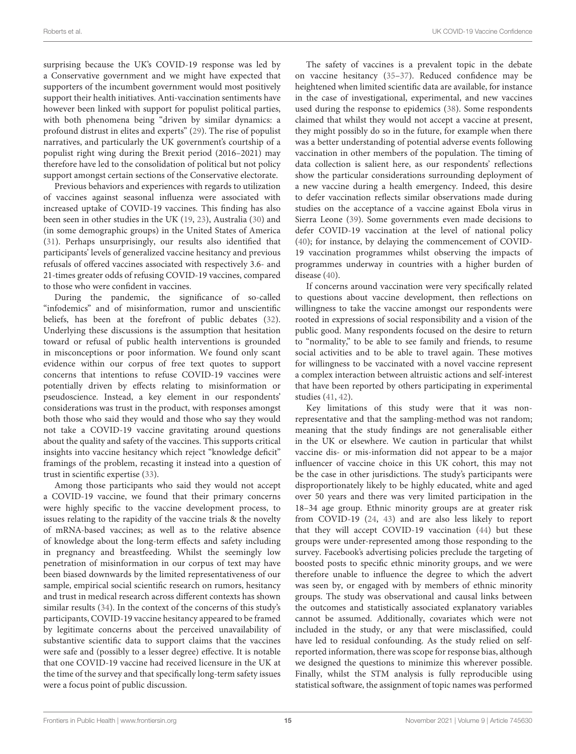surprising because the UK's COVID-19 response was led by a Conservative government and we might have expected that supporters of the incumbent government would most positively support their health initiatives. Anti-vaccination sentiments have however been linked with support for populist political parties, with both phenomena being "driven by similar dynamics: a profound distrust in elites and experts" [\(29\)](#page-16-26). The rise of populist narratives, and particularly the UK government's courtship of a populist right wing during the Brexit period (2016–2021) may therefore have led to the consolidation of political but not policy support amongst certain sections of the Conservative electorate.

Previous behaviors and experiences with regards to utilization of vaccines against seasonal influenza were associated with increased uptake of COVID-19 vaccines. This finding has also been seen in other studies in the UK [\(19,](#page-16-16) [23\)](#page-16-20), Australia [\(30\)](#page-16-27) and (in some demographic groups) in the United States of America [\(31\)](#page-16-28). Perhaps unsurprisingly, our results also identified that participants' levels of generalized vaccine hesitancy and previous refusals of offered vaccines associated with respectively 3.6- and 21-times greater odds of refusing COVID-19 vaccines, compared to those who were confident in vaccines.

During the pandemic, the significance of so-called "infodemics" and of misinformation, rumor and unscientific beliefs, has been at the forefront of public debates [\(32\)](#page-16-29). Underlying these discussions is the assumption that hesitation toward or refusal of public health interventions is grounded in misconceptions or poor information. We found only scant evidence within our corpus of free text quotes to support concerns that intentions to refuse COVID-19 vaccines were potentially driven by effects relating to misinformation or pseudoscience. Instead, a key element in our respondents' considerations was trust in the product, with responses amongst both those who said they would and those who say they would not take a COVID-19 vaccine gravitating around questions about the quality and safety of the vaccines. This supports critical insights into vaccine hesitancy which reject "knowledge deficit" framings of the problem, recasting it instead into a question of trust in scientific expertise [\(33\)](#page-16-30).

Among those participants who said they would not accept a COVID-19 vaccine, we found that their primary concerns were highly specific to the vaccine development process, to issues relating to the rapidity of the vaccine trials & the novelty of mRNA-based vaccines; as well as to the relative absence of knowledge about the long-term effects and safety including in pregnancy and breastfeeding. Whilst the seemingly low penetration of misinformation in our corpus of text may have been biased downwards by the limited representativeness of our sample, empirical social scientific research on rumors, hesitancy and trust in medical research across different contexts has shown similar results [\(34\)](#page-16-31). In the context of the concerns of this study's participants, COVID-19 vaccine hesitancy appeared to be framed by legitimate concerns about the perceived unavailability of substantive scientific data to support claims that the vaccines were safe and (possibly to a lesser degree) effective. It is notable that one COVID-19 vaccine had received licensure in the UK at the time of the survey and that specifically long-term safety issues were a focus point of public discussion.

The safety of vaccines is a prevalent topic in the debate on vaccine hesitancy [\(35–](#page-16-32)[37\)](#page-16-33). Reduced confidence may be heightened when limited scientific data are available, for instance in the case of investigational, experimental, and new vaccines used during the response to epidemics [\(38\)](#page-16-34). Some respondents claimed that whilst they would not accept a vaccine at present, they might possibly do so in the future, for example when there was a better understanding of potential adverse events following vaccination in other members of the population. The timing of data collection is salient here, as our respondents' reflections show the particular considerations surrounding deployment of a new vaccine during a health emergency. Indeed, this desire to defer vaccination reflects similar observations made during studies on the acceptance of a vaccine against Ebola virus in Sierra Leone [\(39\)](#page-16-35). Some governments even made decisions to defer COVID-19 vaccination at the level of national policy [\(40\)](#page-16-36); for instance, by delaying the commencement of COVID-19 vaccination programmes whilst observing the impacts of programmes underway in countries with a higher burden of disease [\(40\)](#page-16-36).

If concerns around vaccination were very specifically related to questions about vaccine development, then reflections on willingness to take the vaccine amongst our respondents were rooted in expressions of social responsibility and a vision of the public good. Many respondents focused on the desire to return to "normality," to be able to see family and friends, to resume social activities and to be able to travel again. These motives for willingness to be vaccinated with a novel vaccine represent a complex interaction between altruistic actions and self-interest that have been reported by others participating in experimental studies [\(41,](#page-17-0) [42\)](#page-17-1).

Key limitations of this study were that it was nonrepresentative and that the sampling-method was not random; meaning that the study findings are not generalisable either in the UK or elsewhere. We caution in particular that whilst vaccine dis- or mis-information did not appear to be a major influencer of vaccine choice in this UK cohort, this may not be the case in other jurisdictions. The study's participants were disproportionately likely to be highly educated, white and aged over 50 years and there was very limited participation in the 18–34 age group. Ethnic minority groups are at greater risk from COVID-19 [\(24,](#page-16-21) [43\)](#page-17-2) and are also less likely to report that they will accept COVID-19 vaccination [\(44\)](#page-17-3) but these groups were under-represented among those responding to the survey. Facebook's advertising policies preclude the targeting of boosted posts to specific ethnic minority groups, and we were therefore unable to influence the degree to which the advert was seen by, or engaged with by members of ethnic minority groups. The study was observational and causal links between the outcomes and statistically associated explanatory variables cannot be assumed. Additionally, covariates which were not included in the study, or any that were misclassified, could have led to residual confounding. As the study relied on selfreported information, there was scope for response bias, although we designed the questions to minimize this wherever possible. Finally, whilst the STM analysis is fully reproducible using statistical software, the assignment of topic names was performed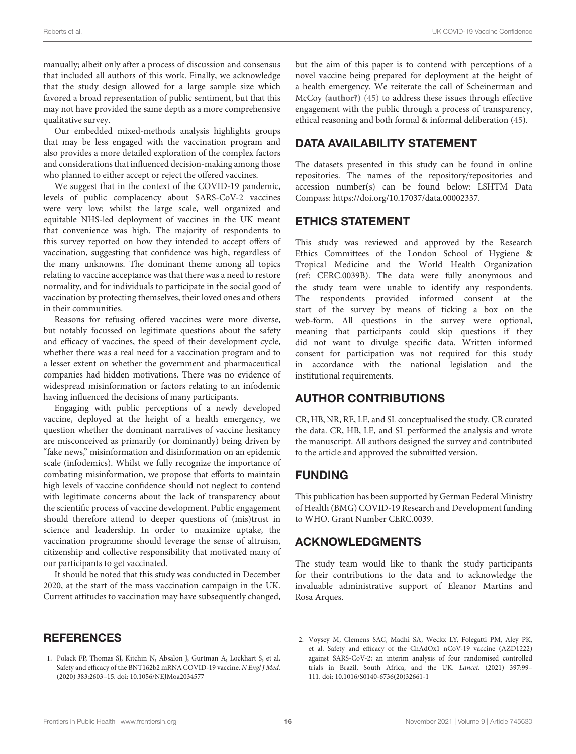manually; albeit only after a process of discussion and consensus that included all authors of this work. Finally, we acknowledge that the study design allowed for a large sample size which favored a broad representation of public sentiment, but that this may not have provided the same depth as a more comprehensive qualitative survey.

Our embedded mixed-methods analysis highlights groups that may be less engaged with the vaccination program and also provides a more detailed exploration of the complex factors and considerations that influenced decision-making among those who planned to either accept or reject the offered vaccines.

We suggest that in the context of the COVID-19 pandemic, levels of public complacency about SARS-CoV-2 vaccines were very low; whilst the large scale, well organized and equitable NHS-led deployment of vaccines in the UK meant that convenience was high. The majority of respondents to this survey reported on how they intended to accept offers of vaccination, suggesting that confidence was high, regardless of the many unknowns. The dominant theme among all topics relating to vaccine acceptance was that there was a need to restore normality, and for individuals to participate in the social good of vaccination by protecting themselves, their loved ones and others in their communities.

Reasons for refusing offered vaccines were more diverse, but notably focussed on legitimate questions about the safety and efficacy of vaccines, the speed of their development cycle, whether there was a real need for a vaccination program and to a lesser extent on whether the government and pharmaceutical companies had hidden motivations. There was no evidence of widespread misinformation or factors relating to an infodemic having influenced the decisions of many participants.

Engaging with public perceptions of a newly developed vaccine, deployed at the height of a health emergency, we question whether the dominant narratives of vaccine hesitancy are misconceived as primarily (or dominantly) being driven by "fake news," misinformation and disinformation on an epidemic scale (infodemics). Whilst we fully recognize the importance of combating misinformation, we propose that efforts to maintain high levels of vaccine confidence should not neglect to contend with legitimate concerns about the lack of transparency about the scientific process of vaccine development. Public engagement should therefore attend to deeper questions of (mis)trust in science and leadership. In order to maximize uptake, the vaccination programme should leverage the sense of altruism, citizenship and collective responsibility that motivated many of our participants to get vaccinated.

It should be noted that this study was conducted in December 2020, at the start of the mass vaccination campaign in the UK. Current attitudes to vaccination may have subsequently changed,

#### **REFERENCES**

<span id="page-15-0"></span>1. Polack FP, Thomas SJ, Kitchin N, Absalon J, Gurtman A, Lockhart S, et al. Safety and efficacy of the BNT162b2 mRNA COVID-19 vaccine. N Engl J Med. (2020) 383:2603–15. doi: [10.1056/NEJMoa2034577](https://doi.org/10.1056/NEJMoa2034577)

but the aim of this paper is to contend with perceptions of a novel vaccine being prepared for deployment at the height of a health emergency. We reiterate the call of Scheinerman and McCoy **(author?)** [\(45\)](#page-17-4) to address these issues through effective engagement with the public through a process of transparency, ethical reasoning and both formal & informal deliberation [\(45\)](#page-17-4).

### DATA AVAILABILITY STATEMENT

The datasets presented in this study can be found in online repositories. The names of the repository/repositories and accession number(s) can be found below: LSHTM Data Compass: [https://doi.org/10.17037/data.00002337.](https://doi.org/10.17037/data.00002337)

#### ETHICS STATEMENT

This study was reviewed and approved by the Research Ethics Committees of the London School of Hygiene & Tropical Medicine and the World Health Organization (ref: CERC.0039B). The data were fully anonymous and the study team were unable to identify any respondents. The respondents provided informed consent at the start of the survey by means of ticking a box on the web-form. All questions in the survey were optional, meaning that participants could skip questions if they did not want to divulge specific data. Written informed consent for participation was not required for this study in accordance with the national legislation and the institutional requirements.

#### AUTHOR CONTRIBUTIONS

CR, HB, NR, RE, LE, and SL conceptualised the study. CR curated the data. CR, HB, LE, and SL performed the analysis and wrote the manuscript. All authors designed the survey and contributed to the article and approved the submitted version.

#### FUNDING

This publication has been supported by German Federal Ministry of Health (BMG) COVID-19 Research and Development funding to WHO. Grant Number CERC.0039.

#### ACKNOWLEDGMENTS

The study team would like to thank the study participants for their contributions to the data and to acknowledge the invaluable administrative support of Eleanor Martins and Rosa Arques.

<span id="page-15-1"></span><sup>2.</sup> Voysey M, Clemens SAC, Madhi SA, Weckx LY, Folegatti PM, Aley PK, et al. Safety and efficacy of the ChAdOx1 nCoV-19 vaccine (AZD1222) against SARS-CoV-2: an interim analysis of four randomised controlled trials in Brazil, South Africa, and the UK. Lancet. (2021) 397:99– 111. doi: [10.1016/S0140-6736\(20\)32661-1](https://doi.org/10.1016/S0140-6736(20)32661-1)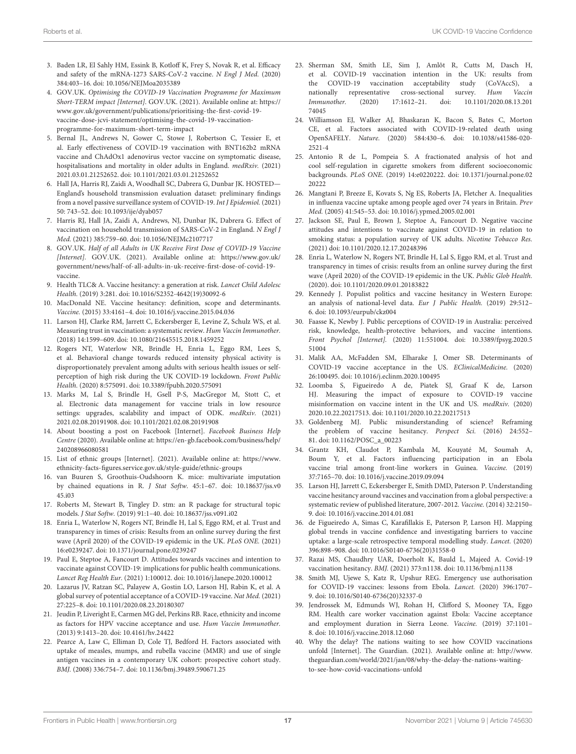- <span id="page-16-0"></span>3. Baden LR, El Sahly HM, Essink B, Kotloff K, Frey S, Novak R, et al. Efficacy and safety of the mRNA-1273 SARS-CoV-2 vaccine. N Engl J Med. (2020) 384:403–16. doi: [10.1056/NEJMoa2035389](https://doi.org/10.1056/NEJMoa2035389)
- <span id="page-16-1"></span>4. GOV.UK. Optimising the COVID-19 Vaccination Programme for Maximum Short-TERM impact [Internet]. GOV.UK. (2021). Available online at: [https://](https://www.gov.uk/government/publications/prioritising-the-first-covid-19-vaccine-dose-jcvi-statement/optimising-the-covid-19-vaccination-programme-for-maximum-short-term-impact) [www.gov.uk/government/publications/prioritising-the-first-covid-19](https://www.gov.uk/government/publications/prioritising-the-first-covid-19-vaccine-dose-jcvi-statement/optimising-the-covid-19-vaccination-programme-for-maximum-short-term-impact) [vaccine-dose-jcvi-statement/optimising-the-covid-19-vaccination](https://www.gov.uk/government/publications/prioritising-the-first-covid-19-vaccine-dose-jcvi-statement/optimising-the-covid-19-vaccination-programme-for-maximum-short-term-impact)[programme-for-maximum-short-term-impact](https://www.gov.uk/government/publications/prioritising-the-first-covid-19-vaccine-dose-jcvi-statement/optimising-the-covid-19-vaccination-programme-for-maximum-short-term-impact)
- <span id="page-16-2"></span>5. Bernal JL, Andrews N, Gower C, Stowe J, Robertson C, Tessier E, et al. Early effectiveness of COVID-19 vaccination with BNT162b2 mRNA vaccine and ChAdOx1 adenovirus vector vaccine on symptomatic disease, hospitalisations and mortality in older adults in England. medRxiv. (2021) 2021.03.01.21252652. doi: [10.1101/2021.03.01.21252652](https://doi.org/10.1101/2021.03.01.21252652)
- <span id="page-16-3"></span>6. Hall JA, Harris RJ, Zaidi A, Woodhall SC, Dabrera G, Dunbar JK. HOSTED— England's household transmission evaluation dataset: preliminary findings from a novel passive surveillance system of COVID-19. Int J Epidemiol. (2021) 50: 743–52. doi: [10.1093/ije/dyab057](https://doi.org/10.1093/ije/dyab057)
- <span id="page-16-4"></span>7. Harris RJ, Hall JA, Zaidi A, Andrews, NJ, Dunbar JK, Dabrera G. Effect of vaccination on household transmission of SARS-CoV-2 in England. N Engl J Med. (2021) 385:759–60. doi: [10.1056/NEJMc2107717](https://doi.org/10.1056/NEJMc2107717)
- <span id="page-16-5"></span>8. GOV.UK. Half of all Adults in UK Receive First Dose of COVID-19 Vaccine [Internet]. GOV.UK. (2021). Available online at: [https://www.gov.uk/](https://www.gov.uk/government/news/half-of-all-adults-in-uk-receive-first-dose-of-covid-19-vaccine) [government/news/half-of-all-adults-in-uk-receive-first-dose-of-covid-19](https://www.gov.uk/government/news/half-of-all-adults-in-uk-receive-first-dose-of-covid-19-vaccine) [vaccine.](https://www.gov.uk/government/news/half-of-all-adults-in-uk-receive-first-dose-of-covid-19-vaccine)
- <span id="page-16-6"></span>9. Health TLC& A. Vaccine hesitancy: a generation at risk. Lancet Child Adolesc Health. (2019) 3:281. doi: [10.1016/S2352-4642\(19\)30092-6](https://doi.org/10.1016/S2352-4642(19)30092-6)
- <span id="page-16-7"></span>10. MacDonald NE. Vaccine hesitancy: definition, scope and determinants. Vaccine. (2015) 33:4161–4. doi: [10.1016/j.vaccine.2015.04.036](https://doi.org/10.1016/j.vaccine.2015.04.036)
- <span id="page-16-8"></span>11. Larson HJ, Clarke RM, Jarrett C, Eckersberger E, Levine Z, Schulz WS, et al. Measuring trust in vaccination: a systematic review. Hum Vaccin Immunother. (2018) 14:1599–609. doi: [10.1080/21645515.2018.1459252](https://doi.org/10.1080/21645515.2018.1459252)
- <span id="page-16-9"></span>12. Rogers NT, Waterlow NR, Brindle H, Enria L, Eggo RM, Lees S, et al. Behavioral change towards reduced intensity physical activity is disproportionately prevalent among adults with serious health issues or selfperception of high risk during the UK COVID-19 lockdown. Front Public Health. (2020) 8:575091. doi: [10.3389/fpubh.2020.575091](https://doi.org/10.3389/fpubh.2020.575091)
- <span id="page-16-10"></span>13. Marks M, Lal S, Brindle H, Gsell P-S, MacGregor M, Stott C, et al. Electronic data management for vaccine trials in low resource settings: upgrades, scalability and impact of ODK. medRxiv. (2021) 2021.02.08.20191908. doi: [10.1101/2021.02.08.20191908](https://doi.org/10.1101/2021.02.08.20191908)
- <span id="page-16-11"></span>14. About boosting a post on Facebook [Internet]. Facebook Business Help Centre (2020). Available online at: [https://en-gb.facebook.com/business/help/](https://en-gb.facebook.com/business/help/240208966080581) [240208966080581](https://en-gb.facebook.com/business/help/240208966080581)
- <span id="page-16-12"></span>15. List of ethnic groups [Internet]. (2021). Available online at: [https://www.](https://www.ethnicity-facts-figures.service.gov.uk/style-guide/ethnic-groups) [ethnicity-facts-figures.service.gov.uk/style-guide/ethnic-groups](https://www.ethnicity-facts-figures.service.gov.uk/style-guide/ethnic-groups)
- <span id="page-16-13"></span>16. van Buuren S, Groothuis-Oudshoorn K. mice: multivariate imputation by chained equations in R. J Stat Softw[. 45:1–67. doi: 10.18637/jss.v0](https://doi.org/10.18637/jss.v045.i03) 45.i03
- <span id="page-16-14"></span>17. Roberts M, Stewart B, Tingley D. stm: an R package for structural topic models. J Stat Softw. (2019) 91:1–40. doi: [10.18637/jss.v091.i02](https://doi.org/10.18637/jss.v091.i02)
- <span id="page-16-15"></span>18. Enria L, Waterlow N, Rogers NT, Brindle H, Lal S, Eggo RM, et al. Trust and transparency in times of crisis: Results from an online survey during the first wave (April 2020) of the COVID-19 epidemic in the UK. PLoS ONE. (2021) 16:e0239247. doi: [10.1371/journal.pone.0239247](https://doi.org/10.1371/journal.pone.0239247)
- <span id="page-16-16"></span>19. Paul E, Steptoe A, Fancourt D. Attitudes towards vaccines and intention to vaccinate against COVID-19: implications for public health communications. Lancet Reg Health Eur. (2021) 1:100012. doi: [10.1016/j.lanepe.2020.100012](https://doi.org/10.1016/j.lanepe.2020.100012)
- <span id="page-16-17"></span>20. Lazarus JV, Ratzan SC, Palayew A, Gostin LO, Larson HJ, Rabin K, et al. A global survey of potential acceptance of a COVID-19 vaccine. Nat Med. (2021) 27:225–8. doi: [10.1101/2020.08.23.20180307](https://doi.org/10.1101/2020.08.23.20180307)
- <span id="page-16-18"></span>21. Jeudin P, Liveright E, Carmen MG del, Perkins RB. Race, ethnicity and income as factors for HPV vaccine acceptance and use. Hum Vaccin Immunother. (2013) 9:1413–20. doi: [10.4161/hv.24422](https://doi.org/10.4161/hv.24422)
- <span id="page-16-19"></span>22. Pearce A, Law C, Elliman D, Cole TJ, Bedford H. Factors associated with uptake of measles, mumps, and rubella vaccine (MMR) and use of single antigen vaccines in a contemporary UK cohort: prospective cohort study. BMJ. (2008) 336:754–7. doi: [10.1136/bmj.39489.590671.25](https://doi.org/10.1136/bmj.39489.590671.25)
- <span id="page-16-20"></span>23. Sherman SM, Smith LE, Sim J, Amlôt R, Cutts M, Dasch H, et al. COVID-19 vaccination intention in the UK: results from the COVID-19 vaccination acceptability study (CoVAccS), a nationally representative cross-sectional survey. Hum Vaccin Immunother. [\(2020\) 17:1612–21. doi: 10.1101/2020.08.13.201](https://doi.org/10.1101/2020.08.13.20174045) 74045
- <span id="page-16-21"></span>24. Williamson EJ, Walker AJ, Bhaskaran K, Bacon S, Bates C, Morton CE, et al. Factors associated with COVID-19-related death using OpenSAFELY. Nature. [\(2020\) 584:430–6. doi: 10.1038/s41586-020-](https://doi.org/10.1038/s41586-020-2521-4) 2521-4
- <span id="page-16-22"></span>25. Antonio R de L, Pompeia S. A fractionated analysis of hot and cool self-regulation in cigarette smokers from different socioeconomic backgrounds. PLoS ONE. [\(2019\) 14:e0220222. doi: 10.1371/journal.pone.02](https://doi.org/10.1371/journal.pone.0220222) 20222
- <span id="page-16-24"></span>26. Mangtani P, Breeze E, Kovats S, Ng ES, Roberts JA, Fletcher A. Inequalities in influenza vaccine uptake among people aged over 74 years in Britain. Prev Med. (2005) 41:545–53. doi: [10.1016/j.ypmed.2005.02.001](https://doi.org/10.1016/j.ypmed.2005.02.001)
- <span id="page-16-23"></span>27. Jackson SE, Paul E, Brown J, Steptoe A, Fancourt D. Negative vaccine attitudes and intentions to vaccinate against COVID-19 in relation to smoking status: a population survey of UK adults. Nicotine Tobacco Res. (2021) doi: [10.1101/2020.12.17.20248396](https://doi.org/10.1101/2020.12.17.20248396)
- <span id="page-16-25"></span>28. Enria L, Waterlow N, Rogers NT, Brindle H, Lal S, Eggo RM, et al. Trust and transparency in times of crisis: results from an online survey during the first wave (April 2020) of the COVID-19 epidemic in the UK. Public Glob Health. (2020). doi: [10.1101/2020.09.01.20183822](https://doi.org/10.1101/2020.09.01.20183822)
- <span id="page-16-26"></span>29. Kennedy J. Populist politics and vaccine hesitancy in Western Europe: an analysis of national-level data. Eur J Public Health. (2019) 29:512– 6. doi: [10.1093/eurpub/ckz004](https://doi.org/10.1093/eurpub/ckz004)
- <span id="page-16-27"></span>30. Faasse K, Newby J. Public perceptions of COVID-19 in Australia: perceived risk, knowledge, health-protective behaviors, and vaccine intentions. Front Psychol [Internet]. [\(2020\) 11:551004. doi: 10.3389/fpsyg.2020.5](https://doi.org/10.3389/fpsyg.2020.551004) 51004
- <span id="page-16-28"></span>31. Malik AA, McFadden SM, Elharake J, Omer SB. Determinants of COVID-19 vaccine acceptance in the US. EClinicalMedicine. (2020) 26:100495. doi: [10.1016/j.eclinm.2020.100495](https://doi.org/10.1016/j.eclinm.2020.100495)
- <span id="page-16-29"></span>32. Loomba S, Figueiredo A de, Piatek SJ, Graaf K de, Larson HJ. Measuring the impact of exposure to COVID-19 vaccine misinformation on vaccine intent in the UK and US. medRxiv. (2020) 2020.10.22.20217513. doi: [10.1101/2020.10.22.20217513](https://doi.org/10.1101/2020.10.22.20217513)
- <span id="page-16-30"></span>33. Goldenberg MJ. Public misunderstanding of science? Reframing the problem of vaccine hesitancy. Perspect Sci. (2016) 24:552– 81. doi: [10.1162/POSC\\_a\\_00223](https://doi.org/10.1162/POSC_a_00223)
- <span id="page-16-31"></span>34. Grantz KH, Claudot P, Kambala M, Kouyaté M, Soumah A, Boum Y, et al. Factors influencing participation in an Ebola vaccine trial among front-line workers in Guinea. Vaccine. (2019) 37:7165–70. doi: [10.1016/j.vaccine.2019.09.094](https://doi.org/10.1016/j.vaccine.2019.09.094)
- <span id="page-16-32"></span>35. Larson HJ, Jarrett C, Eckersberger E, Smith DMD, Paterson P. Understanding vaccine hesitancy around vaccines and vaccination from a global perspective: a systematic review of published literature, 2007-2012. Vaccine. (2014) 32:2150– 9. doi: [10.1016/j.vaccine.2014.01.081](https://doi.org/10.1016/j.vaccine.2014.01.081)
- 36. de Figueiredo A, Simas C, Karafillakis E, Paterson P, Larson HJ. Mapping global trends in vaccine confidence and investigating barriers to vaccine uptake: a large-scale retrospective temporal modelling study. Lancet. (2020) 396:898–908. doi: [10.1016/S0140-6736\(20\)31558-0](https://doi.org/10.1016/S0140-6736(20)31558-0)
- <span id="page-16-33"></span>37. Razai MS, Chaudhry UAR, Doerholt K, Bauld L, Majeed A. Covid-19 vaccination hesitancy. BMJ. (2021) 373:n1138. doi: [10.1136/bmj.n1138](https://doi.org/10.1136/bmj.n1138)
- <span id="page-16-34"></span>38. Smith MJ, Ujewe S, Katz R, Upshur REG. Emergency use authorisation for COVID-19 vaccines: lessons from Ebola. Lancet. (2020) 396:1707– 9. doi: [10.1016/S0140-6736\(20\)32337-0](https://doi.org/10.1016/S0140-6736(20)32337-0)
- <span id="page-16-35"></span>39. Jendrossek M, Edmunds WJ, Rohan H, Clifford S, Mooney TA, Eggo RM. Health care worker vaccination against Ebola: Vaccine acceptance and employment duration in Sierra Leone. Vaccine. (2019) 37:1101– 8. doi: [10.1016/j.vaccine.2018.12.060](https://doi.org/10.1016/j.vaccine.2018.12.060)
- <span id="page-16-36"></span>40. Why the delay? The nations waiting to see how COVID vaccinations unfold [Internet]. The Guardian. (2021). Available online at: [http://www.](http://www.theguardian.com/world/2021/jan/08/why-the-delay-the-nations-waiting-to-see-how-covid-vaccinations-unfold) [theguardian.com/world/2021/jan/08/why-the-delay-the-nations-waiting](http://www.theguardian.com/world/2021/jan/08/why-the-delay-the-nations-waiting-to-see-how-covid-vaccinations-unfold)[to-see-how-covid-vaccinations-unfold](http://www.theguardian.com/world/2021/jan/08/why-the-delay-the-nations-waiting-to-see-how-covid-vaccinations-unfold)